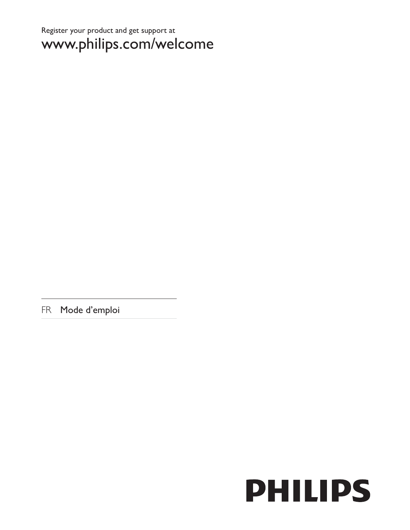# Register your product and get support at www.philips.com/welcome

FR Mode d'emploi

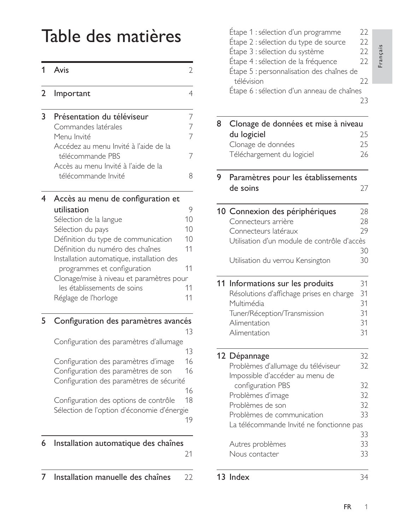# Table des matières

| 1              | Avis                                                       | 2              |
|----------------|------------------------------------------------------------|----------------|
| $\overline{2}$ | Important                                                  | 4              |
| 3              | Présentation du téléviseur                                 | 7              |
|                | Commandes latérales                                        | $\overline{7}$ |
|                | Menu Invité                                                | $\overline{7}$ |
|                | Accédez au menu Invité à l'aide de la                      |                |
|                | télécommande PBS                                           | 7              |
|                | Accès au menu Invité à l'aide de la<br>télécommande Invité | 8              |
|                |                                                            |                |
| 4              | Accès au menu de configuration et                          |                |
|                | utilisation                                                | 9              |
|                | Sélection de la langue                                     | 10             |
|                | Sélection du pays                                          | 10             |
|                | Définition du type de communication                        | 10             |
|                | Définition du numéro des chaînes                           | 11             |
|                | Installation automatique, installation des                 |                |
|                | programmes et configuration                                | 11             |
|                | Clonage/mise à niveau et paramètres pour                   |                |
|                | les établissements de soins                                | 11             |
|                | Réglage de l'horloge                                       | 11             |
| 5              | Configuration des paramètres avancés                       |                |
|                |                                                            | 13             |
|                | Configuration des paramètres d'allumage                    |                |
|                |                                                            | 13             |
|                | Configuration des paramètres d'image                       | 16             |
|                | Configuration des paramètres de son                        | 16             |
|                | Configuration des paramètres de sécurité                   |                |
|                |                                                            | 16             |
|                | Configuration des options de contrôle                      | 18             |
|                | Sélection de l'option d'économie d'énergie                 |                |
|                |                                                            | 19             |
| 6              | Installation automatique des chaînes                       |                |
|                |                                                            | 21             |
| 7              | Installation manuelle des chaînes                          | 22             |

|   | Étape 1 : sélection d'un programme<br>Étape 2 : sélection du type de source<br>Étape 3 : sélection du système<br>Étape 4 : sélection de la fréquence<br>Étape 5 : personnalisation des chaînes de<br>télévision<br>Étape 6 : sélection d'un anneau de chaînes | 22<br>22<br>22<br>22<br>22<br>23 | rançais |
|---|---------------------------------------------------------------------------------------------------------------------------------------------------------------------------------------------------------------------------------------------------------------|----------------------------------|---------|
| 8 | Clonage de données et mise à niveau                                                                                                                                                                                                                           |                                  |         |
|   | du logiciel                                                                                                                                                                                                                                                   | 25                               |         |
|   | Clonage de données                                                                                                                                                                                                                                            | 25                               |         |
|   | Téléchargement du logiciel                                                                                                                                                                                                                                    | 26                               |         |
| 9 | Paramètres pour les établissements                                                                                                                                                                                                                            |                                  |         |
|   | de soins                                                                                                                                                                                                                                                      | 27                               |         |
|   | 10 Connexion des périphériques                                                                                                                                                                                                                                | 28                               |         |
|   | Connecteurs arrière                                                                                                                                                                                                                                           | 28                               |         |
|   | Connecteurs latéraux                                                                                                                                                                                                                                          | 29                               |         |
|   | Utilisation d'un module de contrôle d'accès                                                                                                                                                                                                                   |                                  |         |
|   |                                                                                                                                                                                                                                                               | 30                               |         |
|   | Utilisation du verrou Kensington                                                                                                                                                                                                                              | 30                               |         |
|   | 11 Informations sur les produits                                                                                                                                                                                                                              | 31                               |         |
|   | Résolutions d'affichage prises en charge                                                                                                                                                                                                                      | 31                               |         |
|   | Multimédia                                                                                                                                                                                                                                                    | 31                               |         |
|   | Tuner/Réception/Transmission                                                                                                                                                                                                                                  | 31                               |         |
|   | Alimentation                                                                                                                                                                                                                                                  | 31                               |         |
|   | Alimentation                                                                                                                                                                                                                                                  | 31                               |         |
|   | 12 Dépannage                                                                                                                                                                                                                                                  | 32                               |         |
|   | Problèmes d'allumage du téléviseur<br>Impossible d'accéder au menu de                                                                                                                                                                                         | 32                               |         |
|   | configuration PBS                                                                                                                                                                                                                                             | 32                               |         |
|   | Problèmes d'image                                                                                                                                                                                                                                             | 32                               |         |
|   | Problèmes de son                                                                                                                                                                                                                                              | 32                               |         |
|   | Problèmes de communication                                                                                                                                                                                                                                    | 33                               |         |
|   | La télécommande Invité ne fonctionne pas                                                                                                                                                                                                                      |                                  |         |
|   |                                                                                                                                                                                                                                                               | 33                               |         |
|   | Autres problèmes                                                                                                                                                                                                                                              | 33                               |         |
|   | Nous contacter                                                                                                                                                                                                                                                | 33                               |         |
|   | 13 Index                                                                                                                                                                                                                                                      | 34                               |         |
|   |                                                                                                                                                                                                                                                               |                                  |         |

 $\mathbf{1}$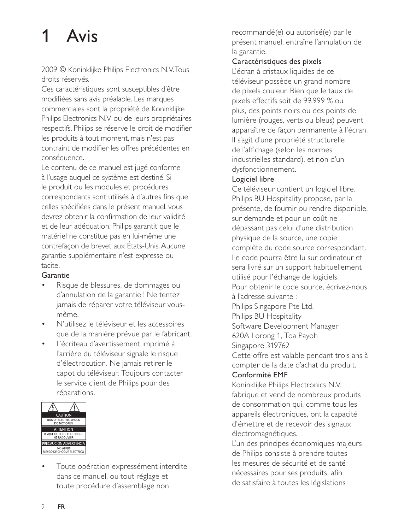# Avis

2009 © Koninklijke Philips Electronics N.V. Tous droits réservés.

Ces caractéristiques sont susceptibles d'être modifiées sans avis préalable. Les marques commerciales sont la propriété de Koninklijke Philips Electronics N.V ou de leurs propriétaires respectifs. Philips se réserve le droit de modifier les produits à tout moment, mais n'est pas contraint de modifier les offres précédentes en conséquence.

Le contenu de ce manuel est jugé conforme à l'usage auquel ce système est destiné. Si le produit ou les modules et procédures correspondants sont utilisés à d'autres fins que celles spécifiées dans le présent manuel, vous devrez obtenir la confirmation de leur validité et de leur adéquation. Philips garantit que le matériel ne constitue pas en lui-même une contrefaçon de brevet aux États-Unis. Aucune garantie supplémentaire n'est expresse ou tacite.

#### Garantie

- Risque de blessures, de dommages ou d'annulation de la garantie ! Ne tentez jamais de réparer votre téléviseur vousmême.
- N'utilisez le téléviseur et les accessoires que de la manière prévue par le fabricant.
- L'écriteau d'avertissement imprimé à l'arrière du téléviseur signale le risque d'électrocution. Ne jamais retirer le capot du téléviseur. Toujours contacter le service client de Philips pour des réparations.



Toute opération expressément interdite dans ce manuel, ou tout réglage et toute procédure d'assemblage non

recommandé(e) ou autorisé(e) par le présent manuel, entraîne l'annulation de la garantie.

## Caractéristiques des pixels

L'écran à cristaux liquides de ce téléviseur possède un grand nombre de pixels couleur. Bien que le taux de pixels effectifs soit de 99,999 % ou plus, des points noirs ou des points de lumière (rouges, verts ou bleus) peuvent apparaître de façon permanente à l'écran. Il s'agit d'une propriété structurelle de l'affichage (selon les normes industrielles standard), et non d'un dysfonctionnement.

## Logiciel libre

Ce téléviseur contient un logiciel libre. Philips BU Hospitality propose, par la présente, de fournir ou rendre disponible, sur demande et pour un coût ne dépassant pas celui d'une distribution physique de la source, une copie complète du code source correspondant. Le code pourra être lu sur ordinateur et sera livré sur un support habituellement utilisé pour l'échange de logiciels. Pour obtenir le code source, écrivez-nous à l'adresse suivante : Philips Singapore Pte Ltd. Philips BU Hospitality Software Development Manager 620A Lorong 1, Toa Payoh Singapore 319762 Cette offre est valable pendant trois ans à compter de la date d'achat du produit. Conformité EMF Koninklijke Philips Electronics N.V.

fabrique et vend de nombreux produits de consommation qui, comme tous les appareils électroniques, ont la capacité d'émettre et de recevoir des signaux électromagnétiques.

L'un des principes économiques majeurs de Philips consiste à prendre toutes les mesures de sécurité et de santé nécessaires pour ses produits, afin de satisfaire à toutes les législations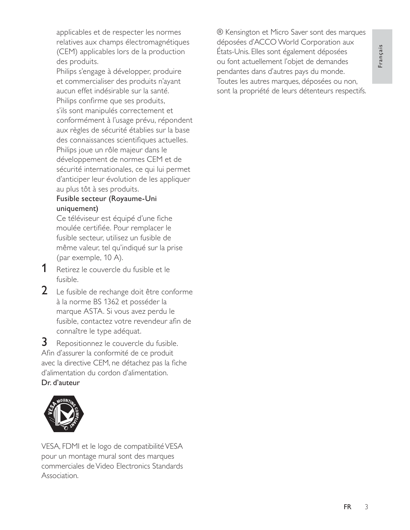Français

applicables et de respecter les normes relatives aux champs électromagnétiques (CEM) applicables lors de la production des produits.

Philips s'engage à développer, produire et commercialiser des produits n'ayant aucun effet indésirable sur la santé. Philips confirme que ses produits, s'ils sont manipulés correctement et conformément à l'usage prévu, répondent aux règles de sécurité établies sur la base des connaissances scientifiques actuelles. Philips joue un rôle majeur dans le développement de normes CEM et de sécurité internationales, ce qui lui permet d'anticiper leur évolution de les appliquer au plus tôt à ses produits.

#### Fusible secteur (Royaume-Uni uniquement)

Ce téléviseur est équipé d'une fiche moulée certifiée. Pour remplacer le fusible secteur, utilisez un fusible de même valeur, tel qu'indiqué sur la prise (par exemple, 10 A).

- $\mathbf 1$ Retirez le couvercle du fusible et le fusible.
- 2 Le fusible de rechange doit être conforme à la norme BS 1362 et posséder la marque ASTA. Si vous avez perdu le fusible, contactez votre revendeur afin de connaître le type adéquat.

3 Repositionnez le couvercle du fusible. Afin d'assurer la conformité de ce produit avec la directive CEM, ne détachez pas la fiche d'alimentation du cordon d'alimentation. Dr. d'auteur



VESA, FDMI et le logo de compatibilité VESA pour un montage mural sont des marques commerciales de Video Electronics Standards Association.

® Kensington et Micro Saver sont des marques déposées d'ACCO World Corporation aux États-Unis. Elles sont également déposées ou font actuellement l'objet de demandes pendantes dans d'autres pays du monde. Toutes les autres marques, déposées ou non, sont la propriété de leurs détenteurs respectifs.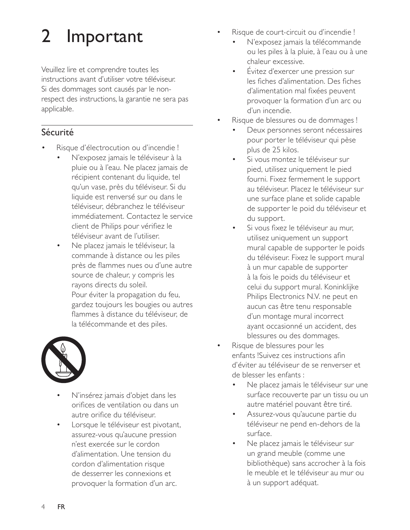## $\overline{2}$ Important

Veuillez lire et comprendre toutes les instructions avant d'utiliser votre téléviseur. Si des dommages sont causés par le nonrespect des instructions, la garantie ne sera pas applicable.

## Sécurité

- Risque d'électrocution ou d'incendie !
	- N'exposez jamais le téléviseur à la pluie ou à l'eau. Ne placez jamais de récipient contenant du liquide, tel qu'un vase, près du téléviseur. Si du liquide est renversé sur ou dans le téléviseur, débranchez le téléviseur immédiatement. Contactez le service client de Philips pour vérifiez le téléviseur avant de l'utiliser.
	- Ne placez jamais le téléviseur, la commande à distance ou les piles près de flammes nues ou d'une autre source de chaleur, y compris les rayons directs du soleil. Pour éviter la propagation du feu, gardez toujours les bougies ou autres flammes à distance du téléviseur, de la télécommande et des piles.



- N'insérez jamais d'objet dans les orifices de ventilation ou dans un autre orifice du téléviseur.
- Lorsque le téléviseur est pivotant, assurez-vous qu'aucune pression n'est exercée sur le cordon d'alimentation. Une tension du cordon d'alimentation risque de desserrer les connexions et provoquer la formation d'un arc.
- Risque de court-circuit ou d'incendie !
	- N'exposez jamais la télécommande ou les piles à la pluie, à l'eau ou à une chaleur excessive.
	- Évitez d'exercer une pression sur les fiches d'alimentation. Des fiches d'alimentation mal fixées peuvent provoquer la formation d'un arc ou d'un incendie.
- Risque de blessures ou de dommages !
	- Deux personnes seront nécessaires pour porter le téléviseur qui pèse plus de 25 kilos.
	- Si vous montez le téléviseur sur pied, utilisez uniquement le pied fourni. Fixez fermement le support au téléviseur. Placez le téléviseur sur une surface plane et solide capable de supporter le poid du téléviseur et du support.
	- Si vous fixez le téléviseur au mur, utilisez uniquement un support mural capable de supporter le poids du téléviseur. Fixez le support mural à un mur capable de supporter à la fois le poids du téléviseur et celui du support mural. Koninklijke Philips Electronics N.V. ne peut en aucun cas être tenu responsable d'un montage mural incorrect ayant occasionné un accident, des blessures ou des dommages.
- Risque de blessures pour les enfants !Suivez ces instructions afin d'éviter au téléviseur de se renverser et de blesser les enfants :
	- Ne placez jamais le téléviseur sur une surface recouverte par un tissu ou un autre matériel pouvant être tiré.
	- Assurez-vous qu'aucune partie du téléviseur ne pend en-dehors de la surface.
	- Ne placez jamais le téléviseur sur un grand meuble (comme une bibliothèque) sans accrocher à la fois le meuble et le téléviseur au mur ou à un support adéquat.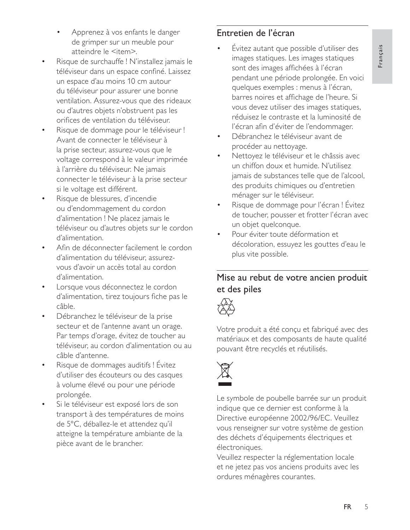- Apprenez à vos enfants le danger de grimper sur un meuble pour atteindre le <item>.
- Risque de surchauffe ! N'installez jamais le téléviseur dans un espace confiné. Laissez un espace d'au moins 10 cm autour du téléviseur pour assurer une bonne ventilation. Assurez-vous que des rideaux ou d'autres objets n'obstruent pas les orifices de ventilation du téléviseur.
- Risque de dommage pour le téléviseur ! Avant de connecter le téléviseur à la prise secteur, assurez-vous que le voltage correspond à le valeur imprimée à l'arrière du téléviseur. Ne jamais connecter le téléviseur à la prise secteur si le voltage est différent.
- Risque de blessures, d'incendie ou d'endommagement du cordon d'alimentation ! Ne placez jamais le téléviseur ou d'autres objets sur le cordon d'alimentation.
- Afin de déconnecter facilement le cordon d'alimentation du téléviseur, assurezvous d'avoir un accès total au cordon d'alimentation.
- Lorsque vous déconnectez le cordon d'alimentation, tirez toujours fiche pas le câble.
- Débranchez le téléviseur de la prise secteur et de l'antenne avant un orage. Par temps d'orage, évitez de toucher au téléviseur, au cordon d'alimentation ou au câble d'antenne.
- Risque de dommages auditifs ! Évitez d'utiliser des écouteurs ou des casques à volume élevé ou pour une période prolongée.
- Si le téléviseur est exposé lors de son transport à des températures de moins de 5°C, déballez-le et attendez qu'il atteigne la température ambiante de la pièce avant de le brancher.

## Entretien de l'écran

- Évitez autant que possible d'utiliser des images statiques. Les images statiques sont des images affichées à l'écran pendant une période prolongée. En voici quelques exemples : menus à l'écran, barres noires et affichage de l'heure. Si vous devez utiliser des images statiques, réduisez le contraste et la luminosité de l'écran afin d'éviter de l'endommager.
- Débranchez le téléviseur avant de procéder au nettoyage.
- Nettoyez le téléviseur et le châssis avec un chiffon doux et humide. N'utilisez jamais de substances telle que de l'alcool, des produits chimiques ou d'entretien ménager sur le téléviseur.
- Risque de dommage pour l'écran ! Évitez de toucher, pousser et frotter l'écran avec un objet quelconque.
- Pour éviter toute déformation et décoloration, essuyez les gouttes d'eau le plus vite possible.

## Mise au rebut de votre ancien produit et des piles



Votre produit a été conçu et fabriqué avec des matériaux et des composants de haute qualité pouvant être recyclés et réutilisés.



Le symbole de poubelle barrée sur un produit indique que ce dernier est conforme à la Directive européenne 2002/96/EC. Veuillez vous renseigner sur votre système de gestion des déchets d'équipements électriques et électroniques.

Veuillez respecter la réglementation locale et ne jetez pas vos anciens produits avec les ordures ménagères courantes.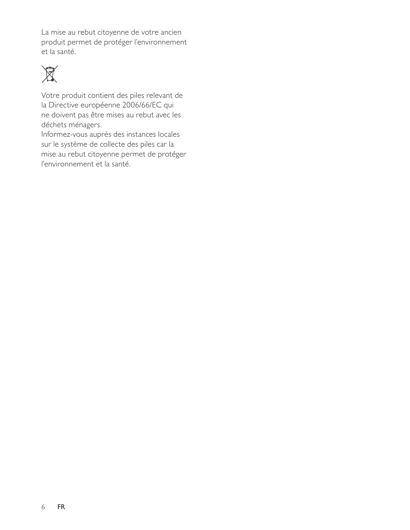La mise au rebut citoyenne de votre ancien produit permet de protéger l'environnement et la santé.



Votre produit contient des piles relevant de la Directive européenne 2006/66/EC qui ne doivent pas être mises au rebut avec les déchets ménagers.

Informez-vous auprès des instances locales sur le système de collecte des piles car la mise au rebut citoyenne permet de protéger l'environnement et la santé.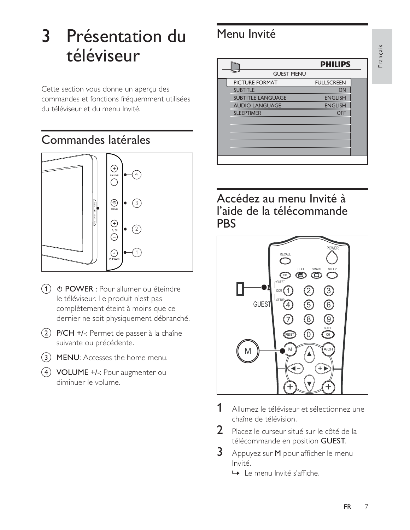# 3 Présentation du téléviseur

Cette section vous donne un aperçu des commandes et fonctions fréquemment utilisées du téléviseur et du menu Invité.

# Commandes latérales



- $\overline{1}$   $\circ$  POWER : Pour allumer ou éteindre le téléviseur. Le produit n'est pas complètement éteint à moins que ce dernier ne soit physiquement débranché.
- 2) P/CH +/-: Permet de passer à la chaîne suivante ou précédente @
- 3) MENU: Accesses the home menu.
- 4 VOLUME +/-: Pour augmenter ou diminuer le volume @

# Menu Invité

| Menu Invité              |                   |  |  |
|--------------------------|-------------------|--|--|
|                          | <b>PHILIPS</b>    |  |  |
| <b>GUEST MENU</b>        |                   |  |  |
| PICTURE FORMAT           | <b>FULLSCREEN</b> |  |  |
| <b>SUBTITLE</b>          | ON                |  |  |
| <b>SUBTITLE LANGUAGE</b> | <b>ENGLISH</b>    |  |  |
| <b>AUDIO LANGUAGE</b>    | <b>ENGLISH</b>    |  |  |
| <b>SLEEPTIMER</b>        | <b>OFF</b>        |  |  |
|                          |                   |  |  |
|                          |                   |  |  |
|                          |                   |  |  |
|                          |                   |  |  |
|                          |                   |  |  |

Accédez au menu Invité à l'aide de la télécommande **PBS** 



- $\mathbf 1$ Allumez le téléviseur et sélectionnez une chaîne de télévision.
- )-Placez le curseur situé sur le côté de la télécommande en position **GUEST**.
- $3<sup>-</sup>$ Appuyez sur M pour afficher le menu Invité.
	- → Le menu Invité s'affiche @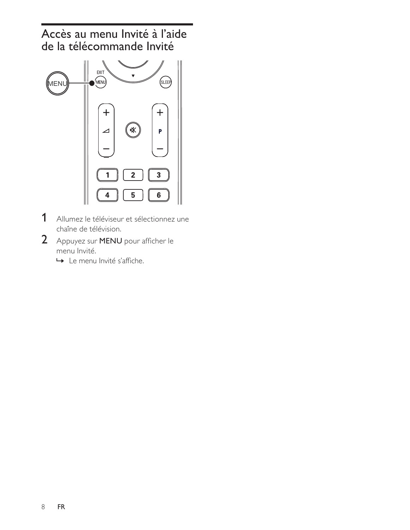Accès au menu Invité à l'aide de la télécommande Invité



- $\mathbf 1$ Allumez le téléviseur et sélectionnez une chaîne de télévision.
- 2 Appuyez sur MENU pour afficher le menu Invité.
	- ← Le menu Invité s'affiche.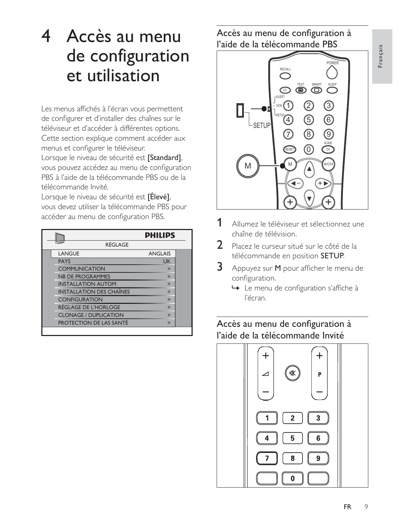# 4 Accès au menu de configuration et utilisation

Les menus affichés à l'écran vous permettent de configurer et d'installer des chaînes sur le téléviseur et d'accéder à différentes options. Cette section explique comment accéder aux menus et configurer le téléviseur.

Lorsque le niveau de sécurité est *[Standard]*, vous pouvez accédez au menu de configuration PBS à l'aide de la télécommande PBS ou de la télécommande Invité.

| télécommande Invité.<br>Lorsque le niveau de sécurité est <b>[Élevé]</b> ,<br>vous devez utiliser la télécommande PBS pour<br>accéder au menu de configuration PBS. |                |  |
|---------------------------------------------------------------------------------------------------------------------------------------------------------------------|----------------|--|
|                                                                                                                                                                     | <b>PHILIPS</b> |  |
| RÉGLAGE                                                                                                                                                             |                |  |
| LANGUE                                                                                                                                                              | <b>ANGLAIS</b> |  |
| <b>PAYS</b>                                                                                                                                                         | <b>UK</b>      |  |
| <b>COMMUNICATION</b>                                                                                                                                                | ⋗              |  |
| <b>NB DE PROGRAMMES</b>                                                                                                                                             | ⋗              |  |
| <b>INSTALLATION AUTOM</b>                                                                                                                                           | $\overline{ }$ |  |
| <b>INSTALLATION DES CHAÎNES</b>                                                                                                                                     | $\overline{ }$ |  |
| <b>CONFIGURATION</b>                                                                                                                                                | $\overline{ }$ |  |
| <b>RÉGLAGE DE L'HORLOGE</b>                                                                                                                                         | $\geq$         |  |
| <b>CLONAGE / DUPLICATION</b>                                                                                                                                        | $\geq$         |  |
| <b>PROTECTION DE LAS SANTÉ</b>                                                                                                                                      | ⋗              |  |
|                                                                                                                                                                     |                |  |

Accès au menu de configuration à l'aide de la télécommande PBS



- #-Allumez le téléviseur et sélectionnez une chaîne de télévision.
- )-Placez le curseur situé sur le côté de la télécommande en position **SETUP**.
- $\mathbf{3}$ Appuyez sur M pour afficher le menu de configuration.
	- $\mapsto$  Le menu de configuration s'affiche à l'écran.

## Accès au menu de configuration à l'aide de la télécommande Invité

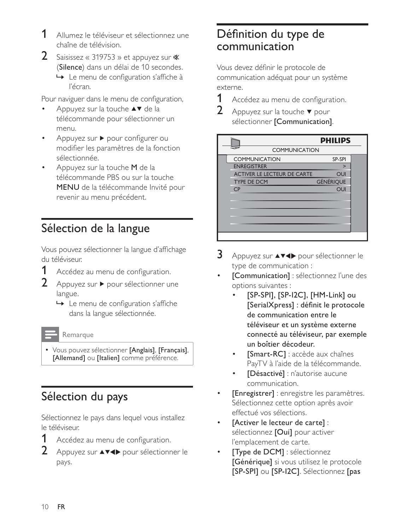- 1 Allumez le téléviseur et sélectionnez une chaîne de télévision.
- 2 Saisissez « 319753 » et appuyez sur  $\mathbb$ (Silence) dans un délai de 10 secondes.
	- ← Le menu de configuration s'affiche à l'écran.

Pour naviguer dans le menu de configuration,

- Appuyez sur la touche ▲▼ de la télécommande pour sélectionner un menu.
- Appuyez sur ▶ pour configurer ou modifier les paramètres de la fonction sélectionnée.
- Appuyez sur la touche M de la télécommande PBS ou sur la touche MENU de la télécommande Invité pour revenir au menu précédent.

# Sélection de la langue

Vous pouvez sélectionner la langue d'affichage du téléviseur.

- 1 Accédez au menu de configuration.
- $2<sup>1</sup>$ Appuyez sur ▶ pour sélectionner une langue.
	- $\rightarrow$  Le menu de configuration s'affiche dans la langue sélectionnée.

#### Remarque

• Vous pouvez sélectionner [Anglais], [Français], [Allemand] ou [Italien] comme préférence.

# Sélection du pays

Sélectionnez le pays dans lequel vous installez le téléviseur.

- Accédez au menu de configuration.
- $2<sup>1</sup>$ Appuyez sur **AV4** pour sélectionner le pays.

# Définition du type de communication

Vous devez définir le protocole de communication adéquat pour un système externe.

- 1 Accédez au menu de configuration.
- $\overline{2}$ Appuyez sur la touche ▼ pour sélectionner [Communication].



- $\overline{3}$ Appuyez sur ▲▼◀▶ pour sélectionner le type de communication :
- [Communication] : sélectionnez l'une des options suivantes :
	- [SP-SPI], [SP-I2C], [HM-Link] ou [SerialXpress] : définit le protocole de communication entre le téléviseur et un système externe connecté au téléviseur, par exemple un boîtier décodeur.
	- [Smart-RC] : accède aux chaînes PayTV à l'aide de la télécommande.
	- [Désactivé] : n'autorise aucune communication.
- [Enregistrer] : enregistre les paramètres. Sélectionnez cette option après avoir effectué vos sélections.
- [Activer le lecteur de carte] : sélectionnez [Oui] pour activer l'emplacement de carte.
- [Type de DCM] : sélectionnez [Générique] si vous utilisez le protocole [SP-SPI] ou [SP-I2C]. Sélectionnez [pas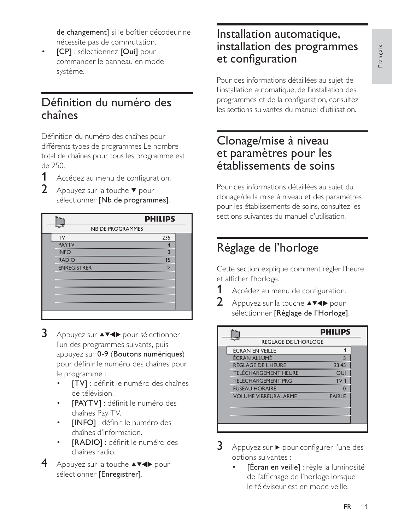de changement] si le boîtier décodeur ne nécessite pas de commutation.

 $\bullet$ [CP] : sélectionnez [Oui] pour -<br>commander le panneau en mode système. @

## Définition du numéro des chaînes

Définition du numéro des chaînes pour différents types de programmes Le nombre total de chaînes pour tous les programme est de 250.

- $\mathbf 1$ Accédez au menu de configuration.
- )-Appuyez sur la touche  $\blacktriangledown$  pour sélectionner **[Nb de programmes]**.

|   | de 250.                                                                             |                |  |
|---|-------------------------------------------------------------------------------------|----------------|--|
|   | Accédez au menu de configuration.                                                   |                |  |
| 2 | Appuyez sur la touche $\blacktriangledown$ pour<br>sélectionner [Nb de programmes]. |                |  |
|   |                                                                                     | <b>PHILIPS</b> |  |
|   | <b>NB DE PROGRAMMES</b>                                                             |                |  |
|   | <b>TV</b>                                                                           | 235            |  |
|   | <b>PAYTV</b>                                                                        | $\overline{4}$ |  |
|   | <b>INFO</b>                                                                         | 3              |  |
|   | <b>RADIO</b>                                                                        | 15             |  |
|   | <b>ENREGISTRER</b>                                                                  | ⋗              |  |
|   |                                                                                     |                |  |
|   |                                                                                     |                |  |
|   |                                                                                     |                |  |
|   |                                                                                     |                |  |
|   |                                                                                     |                |  |
|   |                                                                                     |                |  |

- $3<sup>-</sup>$ Appuyez sur ▲▼◀▶ pour sélectionner l'un des programmes suivants, puis appuyez sur 0-9 (Boutons numériques) entitées des chaînes pourtes .<br>le programme  $\vdots$ 
	- $\bullet$ [TV] : définit le numéro des chaînes -<br>de télévision.
	- $\bullet$ [PAYTV] : définit le numéro des -<br>chaînes Pav TV.
	- $\bullet$ [INFO] : définit le numéro des -<br>chaînes d'information.
	- $\bullet$ [RADIO] : définit le numéro des chaînes radio.
- 4 Appuyez sur la touche  $\triangle^{V}$  pour sélectionner **[Enregistrer]**.

## Installation automatique, installation des programmes et configuration

Pour des informations détaillées au sujet de l'installation automatique, de l'installation des programmes et de la configuration, consultez .<br>les sections suivantes du manuel d'utilisation.

## Clonage/mise à niveau et paramètres pour les établissements de soins

Pour des informations détaillées au sujet du clonage/de la mise à niveau et des paramètres pour les établissements de soins, consultez les sections suivantes du manuel d'utilisation.

# Réglage de l'horloge

Cette section explique comment régler l'heure et afficher l'horloge @

- #-Accédez au menu de configuration.
- )-Appuyez sur la touche  $\triangle^{V}$  pour sélectionner **[Réglage de l'Horloge]**.

|   | et afficher l'horloge.                                                  |                 |  |
|---|-------------------------------------------------------------------------|-----------------|--|
|   | Accédez au menu de configuration.                                       |                 |  |
| 2 | Appuyez sur la touche ▲▼◀▶ pour<br>sélectionner [Réglage de l'Horloge]. |                 |  |
|   |                                                                         | <b>PHILIPS</b>  |  |
|   | RÉGLAGE DE L'HORLOGE                                                    |                 |  |
|   | ÉCRAN EN VEILLE                                                         | 1               |  |
|   | ÉCRAN ALLUMÉ                                                            | 5               |  |
|   | <b>RÉGLAGE DE L'HEURE</b>                                               | 23:45           |  |
|   | TÉLÉCHARGEMENT HEURE                                                    | <b>OUI</b>      |  |
|   | TÉLÉCHARGEMENT PRG                                                      | TV <sub>1</sub> |  |
|   | <b>FUSEAU HORAIRE</b>                                                   | ŋ               |  |
|   | <b>VOLUME VIBREURALARME</b>                                             | <b>FAIBLE</b>   |  |
|   |                                                                         |                 |  |
|   |                                                                         |                 |  |
|   |                                                                         |                 |  |
|   |                                                                         |                 |  |

- $\mathbf{3}$  $Appuyez sur \triangleright pour configure l'une des$ options suivantes  $\vdots$ 
	- $\bullet$ **FÉcran en veille]** : règle la luminosité -<br>de l'affichage de l'horloge lorsque le téléviseur est en mode veille.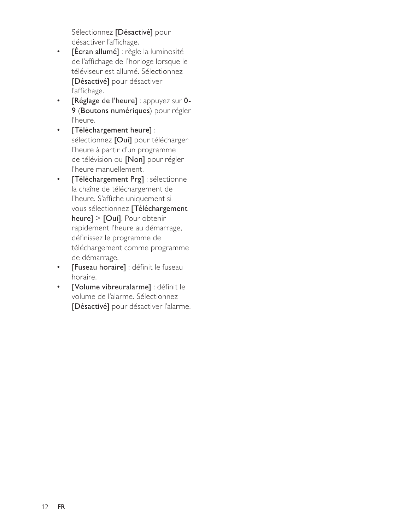Sélectionnez [Désactivé] pour désactiver l'affichage.

- $\bullet$  . [Écran allumé] : règle la luminosité de l'affichage de l'horloge lorsque le téléviseur est allumé. Sélectionnez [Désactivé] pour désactiver l'affichage.
- [Réglage de l'heure] : appuyez sur 0- $\bullet$  . 9 (Boutons numériques) pour régler l'heure.
- [Téléchargement heure] :  $\bullet$  . sélectionnez [Oui] pour télécharger l'heure à partir d'un programme de télévision ou [Non] pour régler l'heure manuellement.
- [Téléchargement Prg] : sélectionne  $\bullet$  . la chaîne de téléchargement de l'heure. S'affiche uniquement si vous sélectionnez [Téléchargement  $heure$  > [Oui]. Pour obtenir rapidement l'heure au démarrage, définissez le programme de téléchargement comme programme de démarrage.
- [Fuseau horaire] : définit le fuseau  $\bullet$  . horaire.
- [Volume vibreuralarme] : définit le  $\bullet$ volume de l'alarme. Sélectionnez [Désactivé] pour désactiver l'alarme.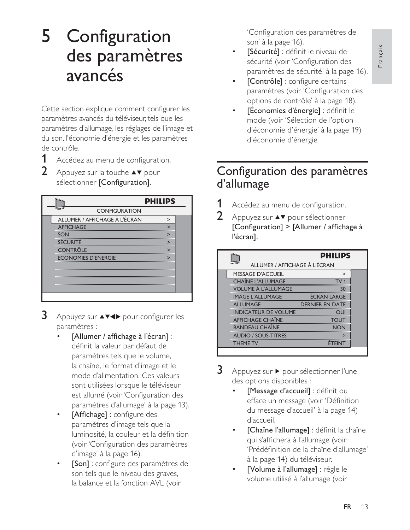# 5 Configuration des paramètres avancés

Cette section explique comment configurer les paramètres avancés du téléviseur, tels que les .<br>paramètres d'allumage, les réglages de l'image et l estantiales d'énergie et les paramètres de contrôle @

- #-Accédez au menu de configuration.
- )-Appuyez sur la touche  $\blacktriangle\blacktriangledown$  pour sélectionner **[Configuration]**.

|   | de controle.                                                   |         |
|---|----------------------------------------------------------------|---------|
|   | Accédez au menu de configuration.                              |         |
| 2 | Appuyez sur la touche ▲▼ pour<br>sélectionner [Configuration]. |         |
|   |                                                                | PHILIPS |
|   | <b>CONFIGURATION</b>                                           |         |
|   | ALLUMER / AFFICHAGE À L'ÉCRAN                                  | >       |
|   | <b>AFFICHAGE</b>                                               | $\geq$  |
|   | SON                                                            | $\geq$  |
|   | <b>SÉCURITÉ</b>                                                | $\geq$  |
|   | <b>CONTRÔLE</b>                                                |         |
|   | <b>ÉCONOMIES D'ÉNERGIE</b>                                     | $\geq$  |
|   |                                                                |         |
|   |                                                                |         |
|   |                                                                |         |
|   |                                                                |         |
|   |                                                                |         |

- $\overline{\mathbf{3}}$ Appuyez sur  $\blacktriangle \blacktriangledown \blacktriangle \blacktriangledown$  pour configurer les - $\vdots$ 
	- M-[Allumer / affichage à l'écran] : -<br>définit la valeur par défaut de paramètres tels que le volume, .<br>la chaîne, le format d'image et le . mode d'alimentation. Ces valeurs sont utilisées lorsque le téléviseur est allumé (voir 'Configuration des paramètres d'allumage' à la page 13).
	- $\bullet$ **EAffichagel**: configure des -<br>paramètres d'image tels que la .<br>Iuminosité, la couleur et la définition (voir 'Configuration des paramètres .<br>d'image' à la page 16).
	- $\bullet$ [Son] : configure des paramètres de son tels que le niveau des graves, la balance et la fonction AVL (voir

'Configuration des paramètres de son' à la page 16).

- $\bullet$ [Sécurité] : définit le niveau de -<br>sécurité (voir 'Configuration des paramètres de sécurité' à la page 16).
- $\bullet$ **[Contrôle]**: configure certains -<br>paramètres (voir 'Configuration des .<br>options de contrôle' à la page 18).
- $\bullet$ [Économies d'énergie] : définit le mode (voir 'Sélection de l'option d'économie d'énergie' à la page 19) d'économie d'énergie

## Configuration des paramètres d'allumage

- #-Accédez au menu de configuration.
- )-Appuyez sur  $\blacktriangle \blacktriangledown$  pour sélectionner [Configuration] > [Allumer / affichage  $\grave{a}$ l'écran].

|                | Accédez au menu de configuration.                                            |                        |  |
|----------------|------------------------------------------------------------------------------|------------------------|--|
| $\overline{2}$ | Appuyez sur ▲▼ pour sélectionner<br>[Configuration] > [Allumer / affichage à |                        |  |
|                | l'écran].                                                                    |                        |  |
|                | <b>PHILIPS</b>                                                               |                        |  |
|                | ALLUMER / AFFICHAGE À L'ÉCRAN                                                |                        |  |
|                | <b>MESSAGE D'ACCUEIL</b>                                                     | $\geq$                 |  |
|                | <b>CHAÎNE L'ALLUMAGE</b>                                                     | TV <sub>1</sub>        |  |
|                | <b>VOLUME À L'ALLUMAGE</b>                                                   | 30                     |  |
|                | <b>IMAGE L'ALLUMAGE</b>                                                      | ÉCRAN LARGE            |  |
|                | <b>ALLUMAGE</b>                                                              | <b>DERNIER EN DATE</b> |  |
|                | <b>INDICATEUR DE VOLUME</b>                                                  | <b>OUI</b>             |  |
|                | <b>AFFICHAGE CHAÎNE</b>                                                      | <b>TOUT</b>            |  |
|                | <b>BANDEAU CHAÎNE</b>                                                        | <b>NON</b>             |  |
|                | <b>AUDIO / SOUS-TITRES</b>                                                   | ⋗                      |  |
|                | <b>THEME TV</b>                                                              | <b>ÉTEINT</b>          |  |
|                |                                                                              |                        |  |

- 3 Appuyez sur ▶ pour sélectionner l'une des options disponibles  $\vdots$ 
	- $\bullet$ [Message d'accueil] : définit ou efface un message (voir 'Définition du message d'accueil' à la page 14) d'accueil.
	- $\bullet$ [Chaîne l'allumage] : définit la chaîne -<br>qui s'affichera à l'allumage (voir-'Prédéfinition de la chaîne d'allumage' à la page 14) du téléviseur.
	- $\bullet$ [Volume à l'allumage] : règle le volume utilisé à l'allumage (voir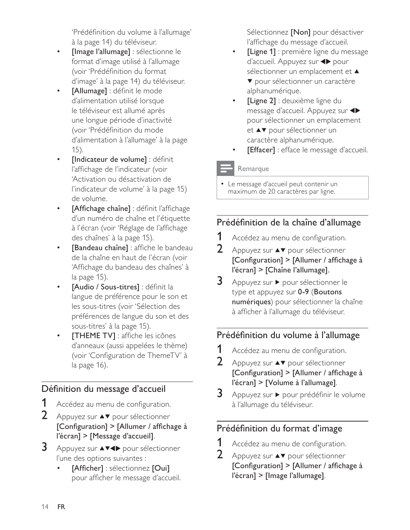'Prédéfinition du volume à l'allumage' à la page 14) du téléviseur.

- [Image l'allumage] : sélectionne le format d'image utilisé à l'allumage (voir 'Prédéfinition du format d'image' à la page 14) du téléviseur.
- [Allumage] : définit le mode d'alimentation utilisé lorsque le téléviseur est allumé après une longue période d'inactivité (voir 'Prédéfinition du mode d'alimentation à l'allumage' à la page  $(15)$ .
- [Indicateur de volume] : définit l'affichage de l'indicateur (voir 'Activation ou désactivation de l'indicateur de volume' à la page 15) de volume.
- [Affichage chaîne] : définit l'affichage d'un numéro de chaîne et l'étiquette à l'écran (voir 'Réglage de l'affichage des chaînes' à la page 15).
- [Bandeau chaîne] : affiche le bandeau de la chaîne en haut de l'écran (voir 'Affichage du bandeau des chaînes' à la page 15).
- [Audio / Sous-titres] : définit la langue de préférence pour le son et les sous-titres (voir 'Sélection des préférences de langue du son et des sous-titres' à la page 15).
- [THEME TV] : affiche les icônes d'anneaux (aussi appelées le thème) (voir 'Configuration de ThemeTV' à la page 16).

## Définition du message d'accueil

- Accédez au menu de configuration.
- $2<sup>1</sup>$ Appuyez sur ▲▼ pour sélectionner [Configuration] > [Allumer / affichage à l'écran] > [Message d'accueil].
- 3 Appuyez sur ▲▼◀▶ pour sélectionner l'une des options suivantes :
	- [Afficher]: sélectionnez [Oui] pour afficher le message d'accueil.

Sélectionnez [Non] pour désactiver l'affichage du message d'accueil.

- [Ligne 1] : première ligne du message d'accueil. Appuyez sur <>>>
pour sélectionner un emplacement et ▲ ▼ pour sélectionner un caractère alphanumérique.
- [Ligne 2] : deuxième ligne du message d'accueil. Appuyez sur < pour sélectionner un emplacement et ▲▼ pour sélectionner un caractère alphanumérique.
	- [Effacer] : efface le message d'accueil.

### Remarque

• Le message d'accueil peut contenir un maximum de 20 caractères par ligne.

## Prédéfinition de la chaîne d'allumage

- 1 Accédez au menu de configuration.
- $\mathbf{2}$ Appuyez sur ▲▼ pour sélectionner [Configuration] > [Allumer / affichage à l'écran] > [Chaîne l'allumage].
- $\overline{3}$ Appuyez sur ▶ pour sélectionner le type et appuyez sur 0-9 (Boutons numériques) pour sélectionner la chaîne à afficher à l'allumage du téléviseur.

## Prédéfinition du volume à l'allumage

- 1 Accédez au menu de configuration.
- $\mathcal{P}$ Appuyez sur ▲▼ pour sélectionner [Configuration] > [Allumer / affichage à l'écran] > [Volume à l'allumage].
- 3 Appuyez sur ▶ pour prédéfinir le volume à l'allumage du téléviseur.

## Prédéfinition du format d'image

- 1 Accédez au menu de configuration.
- 2 Appuyez sur ▲▼ pour sélectionner [Configuration] > [Allumer / affichage à l'écran] > [Image l'allumage].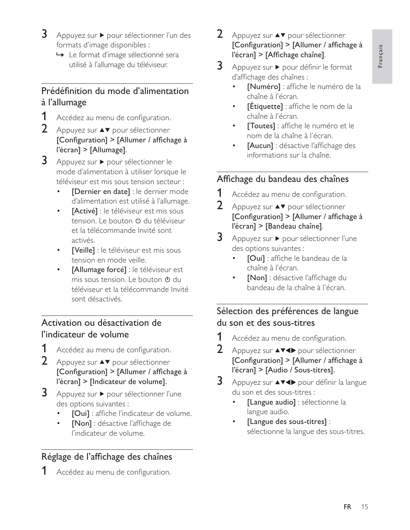- $\mathbf{3}$ Appuyez sur ▶ pour sélectionner l'un des formats d'image disponibles :
	- ← Le format d'image sélectionné sera utilisé à l'allumage du téléviseur.

## Prédéfinition du mode d'alimentation à l'allumage

- 1 Accédez au menu de configuration.
- 2 Appuyez sur  $\blacktriangle\blacktriangledown$  pour sélectionner [Configuration] > [Allumer / affichage à l'écran] > [Allumage].
- 3 Appuyez sur ▶ pour sélectionner le mode d'alimentation à utiliser lorsque le téléviseur est mis sous tension secteur :
	- [Dernier en date] : le dernier mode d'alimentation est utilisé à l'allumage.
	- [Activé] : le téléviseur est mis sous tension. Le bouton  $\Phi$  du téléviseur et la télécommande Invité sont activés.
	- [Veille] : le téléviseur est mis sous tension en mode veille.
	- [Allumage forcé] : le téléviseur est mis sous tension. Le bouton  $\theta$  du téléviseur et la télécommande Invité sont désactivés.

## Activation ou désactivation de l'indicateur de volume

- 1 Accédez au menu de configuration.
- $2<sup>7</sup>$ Appuyez sur ▲▼ pour sélectionner [Configuration] > [Allumer / affichage à l'écran] > [Indicateur de volume].
- 3 Appuyez sur ▶ pour sélectionner l'une des options suivantes :
	- [Oui] : affiche l'indicateur de volume.
	- [Non] : désactive l'affichage de l'indicateur de volume.

## Réglage de l'affichage des chaînes

Accédez au menu de configuration.

- $2<sup>1</sup>$ Appuyez sur ▲▼ pour sélectionner [Configuration] > [Allumer / affichage à l'écran] > [Affichage chaîne].
- 3 Appuyez sur ▶ pour définir le format d'affichage des chaînes :
	- [Numéro] : affiche le numéro de la chaîne à l'écran.
	- [Étiquette] : affiche le nom de la chaîne à l'écran.
	- [Toutes] : affiche le numéro et le nom de la chaîne à l'écran.
	- [Aucun] : désactive l'affichage des informations sur la chaîne.

## Affichage du bandeau des chaînes

- 1 Accédez au menu de configuration.
- $\mathbf{2}$ Appuyez sur ▲▼ pour sélectionner [Configuration] > [Allumer / affichage à l'écran] > [Bandeau chaîne].
- 3 Appuyez sur ▶ pour sélectionner l'une des options suivantes :
	- [Oui] : affiche le bandeau de la chaîne à l'écran.
	- [Non] : désactive l'affichage du bandeau de la chaîne à l'écran.

## Sélection des préférences de langue du son et des sous-titres

- 1 Accédez au menu de configuration.
- $\mathbf{2}$ Appuyez sur ▲▼◀▶ pour sélectionner [Configuration] > [Allumer / affichage à l'écran] > [Audio / Sous-titres].
- 3 Appuyez sur ▲▼◀▶ pour définir la langue du son et des sous-titres :
	- [Langue audio] : sélectionne la langue audio.
	- [Langue des sous-titres] : sélectionne la langue des sous-titres.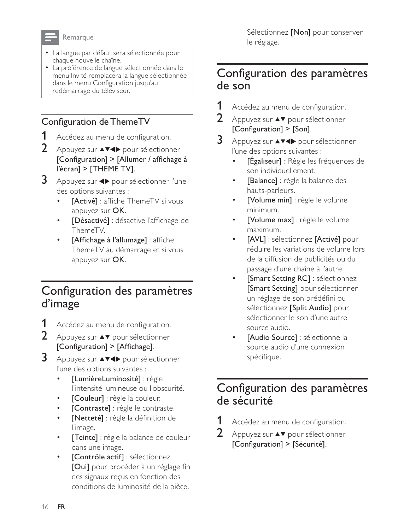#### Remarque

- La langue par défaut sera sélectionnée pour chaque nouvelle chaîne.
- La préférence de langue sélectionnée dans le menu Invité remplacera la langue sélectionnée dans le menu Configuration jusqu'au redémarrage du téléviseur.

## Configuration de ThemeTV

- 1 Accédez au menu de configuration.
- 2 Appuyez sur **AV4** pour sélectionner [Configuration] > [Allumer / affichage à l'écran] > [THEME TV].
- 3 Appuyez sur ◆ pour sélectionner l'une des options suivantes :
	- [Activé] : affiche ThemeTV si vous appuyez sur OK.
	- [Désactivé] : désactive l'affichage de ThemeTV.
	- [Affichage à l'allumage] : affiche ThemeTV au démarrage et si vous appuyez sur OK.

# Configuration des paramètres d'image

- 1 Accédez au menu de configuration.
- $2<sup>1</sup>$ Appuyez sur ▲▼ pour sélectionner [Configuration] > [Affichage].
- 3 Appuyez sur ▲▼◀▶ pour sélectionner l'une des options suivantes :
	- [LumièreLuminosité] : règle l'intensité lumineuse ou l'obscurité.
	- [Couleur] : règle la couleur.
	- [Contraste] : règle le contraste.
	- [Netteté] : règle la définition de l'image.
	- [Teinte] : règle la balance de couleur dans une image.
	- [Contrôle actif] : sélectionnez  $\bullet$ [Oui] pour procéder à un réglage fin des signaux reçus en fonction des conditions de luminosité de la pièce.

Sélectionnez [Non] pour conserver le réglage.

## Configuration des paramètres de son

- 1 Accédez au menu de configuration.
- $\overline{2}$ Appuyez sur ▲▼ pour sélectionner [Configuration] > [Son].
- 3 Appuyez sur ▲▼◀▶ pour sélectionner l'une des options suivantes :
	- [Egaliseur] : Règle les fréquences de son individuellement.
	- [Balance] : règle la balance des hauts-parleurs.
	- [Volume min] : règle le volume minimum.
	- [Volume max] : règle le volume maximum.
	- [AVL] : sélectionnez [Activé] pour réduire les variations de volume lors de la diffusion de publicités ou du passage d'une chaîne à l'autre.
	- [Smart Setting RC] : sélectionnez [Smart Setting] pour sélectionner un réglage de son prédéfini ou sélectionnez [Split Audio] pour sélectionner le son d'une autre source audio.
	- [Audio Source] : sélectionne la source audio d'une connexion spécifique.

# Configuration des paramètres de sécurité

- 1 Accédez au menu de configuration.
- $\overline{2}$ Appuyez sur ▲▼ pour sélectionner [Configuration] > [Sécurité].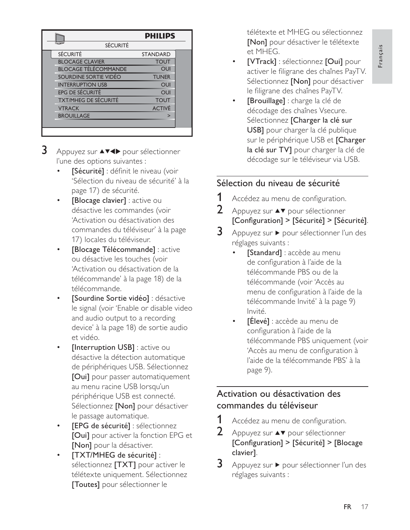|                             | <b>PHILIPS</b>  |
|-----------------------------|-----------------|
| <b>SÉCURITÉ</b>             |                 |
| <b>SÉCURITÉ</b>             | <b>STANDARD</b> |
| <b>BLOCAGE CLAVIER</b>      | <b>TOUT</b>     |
| <b>BLOCAGE TÉLÉCOMMANDE</b> | OUI             |
| SOURDINE SORTIE VIDÉO       | <b>TUNER</b>    |
| <b>INTERRUPTION USB</b>     | OUI             |
| <b>EPG DE SÉCURITÉ</b>      | OUI             |
| <b>TXT/MHEG DE SÉCURITÉ</b> | <b>TOUT</b>     |
| <b>VTRACK</b>               | <b>ACTIVÉ</b>   |
| <b>BROUILLAGE</b>           | $\geq$          |
|                             |                 |
|                             |                 |

- $3<sup>-</sup>$ Appuyez sur ▲▼◀▶ pour sélectionner l'une des options suivantes  $\vdots$ 
	- $\bullet$ [Sécurité] : définit le niveau (voir 'Sélection du niveau de sécurité' à la page 17) de sécurité.
	- $\bullet$ [Blocage clavier] : active ou désactive les commandes (voir 'Activation ou désactivation des commandes du téléviseur' à la page 17) locales du téléviseur.
	- $\bullet$ [Blocage Télécommande] : active ou désactive les touches (voir 'Activation ou désactivation de la télécommande' à la page 18) de la télécommande. @
	- $\bullet$ [Sourdine Sortie vidéo] : désactive le signal (voir 'Enable or disable video and audio output to a recording device' à la page 18) de sortie audio et vidéo.
	- $\bullet$ **[Interruption USB]** : active ou désactive la détection automatique de périphériques USB. Sélectionnez [Oui] pour passer automatiquement -<br>au menu racine USB Iorsqu'un périphérique USB est connecté. .<br>Sélectionnez **[Non]** pour désactiver le passage automatique @
	- $\bullet$ [EPG de sécurité] : sélectionnez **[Oui]** pour activer la fonction EPG et **Mont** pour la désactiver.
	- $\bullet$ [TXT/MHEG de sécurité] : -<br>sélectionnez **[TXT]** pour activer le télétexte uniquement. Sélectionnez [Toutes] pour sélectionner le

télétexte et MHEG ou sélectionnez [Non] pour désactiver le télétexte et MHEG.

- $\bullet$ [VTrack] : sélectionnez [Oui] pour activer le filigrane des chaînes PayTV. Sélectionnez *[Non]* pour désactiver le filigrane des chaînes PayTV.
- $\bullet$ [Brouillage] : charge la clé de décodage des chaînes Vsecure. Sélectionnez **[Charger la clé sur** USB] pour charger la clé publique sur le périphérique USB et l'Charger la clé sur TV] pour charger la clé de décodage sur le téléviseur via USB.

## Sélection du niveau de sécurité

- $\mathbf 1$ Accédez au menu de configuration.
- )-Appuyez sur  $\blacktriangle\blacktriangledown$  pour sélectionner [Configuration] > [Sécurité] > [Sécurité].
- $\mathbf{3}$ Appuyez sur ▶ pour sélectionner l'un des réglages suivants  $\vdots$ 
	- $\bullet$ [Standard] : accède au menu -<br>de configuration à l'aide de la télécommande PBS ou de la télécommande (voir 'Accès au menu de configuration à l'aide de la télécommande Invité' à la page 9) Invité.
	- $\bullet$ **[Élevé]** : accède au menu de configuration à l'aide de la télécommande PBS uniquement (voir 'Accès au menu de configuration à l'aide de la télécommande PBS' à la page 9).

## Activation ou désactivation des commandes du téléviseur

- #-Accédez au menu de configuration.
- )-Appuyez sur  $\blacktriangle \blacktriangledown$  pour sélectionner  $[Configuration]$  >  $[Sécurité]$  >  $[Block]$ clavier].
- 3 Appuyez sur ▶ pour sélectionner l'un des réglages suivants  $\vdots$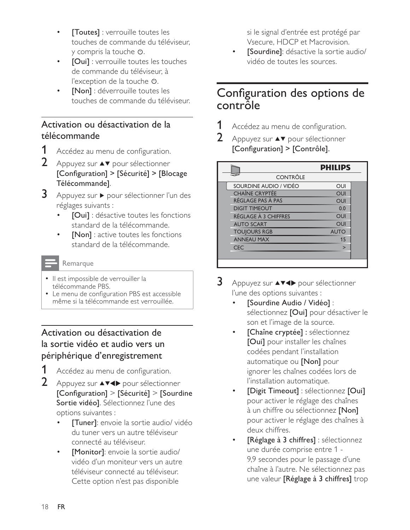- [Toutes] : verrouille toutes les touches de commande du téléviseur. y compris la touche Φ.
- [Oui] : verrouille toutes les touches de commande du téléviseur. à l'exception de la touche  $\Phi$ .
- [Non] : déverrouille toutes les touches de commande du téléviseur.

## Activation ou désactivation de la télécommande

- 1 Accédez au menu de configuration.
- $\mathcal{P}$ Appuyez sur ▲▼ pour sélectionner [Configuration] > [Sécurité] > [Blocage Télécommande].
- 3 Appuyez sur ▶ pour sélectionner l'un des réglages suivants :
	- [Oui] : désactive toutes les fonctions standard de la télécommande.
	- **Nonl**: active toutes les fonctions standard de la télécommande.

#### Remarque

- · Il est impossible de verrouiller la télécommande PBS.
- Le menu de configuration PBS est accessible même si la télécommande est verrouillée.

## Activation ou désactivation de la sortie vidéo et audio vers un périphérique d'enregistrement

- 1 Accédez au menu de configuration.
- 2 Appuyez sur **AV4>** pour sélectionner [Configuration] > [Sécurité] > [Sourdine Sortie vidéo]. Sélectionnez l'une des options suivantes :
	- [Tuner]: envoie la sortie audio/ vidéo du tuner vers un autre téléviseur connecté au téléviseur.
	- [Monitor]: envoie la sortie audio/ vidéo d'un moniteur vers un autre téléviseur connecté au téléviseur. Cette option n'est pas disponible

si le signal d'entrée est protégé par Vsecure, HDCP et Macrovision.

[Sourdine]: désactive la sortie audio/ vidéo de toutes les sources.

## Configuration des options de contrôle

- 1 Accédez au menu de configuration.
- $\overline{2}$ Appuyez sur ▲▼ pour sélectionner [Configuration] > [Contrôle].

|                        | <b>PHILIPS</b> |  |
|------------------------|----------------|--|
| <b>CONTRÔLE</b>        |                |  |
| SOURDINE AUDIO / VIDÉO | OUI            |  |
| <b>CHAÎNE CRYPTÉE</b>  | OUI            |  |
| RÉGLAGE PAS À PAS      | OUI            |  |
| <b>DIGIT TIMEOUT</b>   | 0.0            |  |
| RÉGLAGE À 3 CHIFFRES   | OUI            |  |
| <b>AUTO SCART</b>      | OUI            |  |
| <b>TOUJOURS RGB</b>    | <b>AUTO</b>    |  |
| <b>ANNEAU MAX</b>      | 15             |  |
| <b>CFC</b>             | $\overline{ }$ |  |
|                        |                |  |
|                        |                |  |

- 3 Appuyez sur ▲▼◀▶ pour sélectionner l'une des options suivantes :
	- [Sourdine Audio / Vidéo] : sélectionnez [Oui] pour désactiver le son et l'image de la source.
	- [Chaîne cryptée] : sélectionnez [Oui] pour installer les chaînes codées pendant l'installation automatique ou [Non] pour ignorer les chaînes codées lors de l'installation automatique.
	- [Digit Timeout] : sélectionnez [Oui] pour activer le réglage des chaînes à un chiffre ou sélectionnez [Non] pour activer le réglage des chaînes à deux chiffres.
	- [Réglage à 3 chiffres] : sélectionnez une durée comprise entre 1 -9,9 secondes pour le passage d'une chaîne à l'autre. Ne sélectionnez pas une valeur [Réglage à 3 chiffres] trop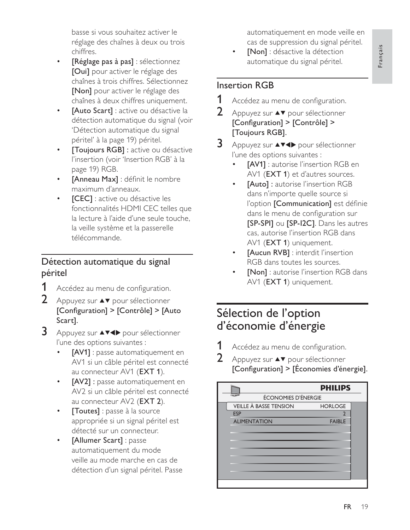Français

basse si vous souhaitez activer le réglage des chaînes à deux ou trois chiffres.

- [Réglage pas à pas] : sélectionnez [Oui] pour activer le réglage des chaînes à trois chiffres. Sélectionnez [Non] pour activer le réglage des chaînes à deux chiffres uniquement.
- [Auto Scart] : active ou désactive la détection automatique du signal (voir 'Détection automatique du signal péritel' à la page 19) péritel.
- [Toujours RGB] : active ou désactive l'insertion (voir 'Insertion RGB' à la page 19) RGB.
- [Anneau Max] : définit le nombre maximum d'anneaux.
- **[CEC]** : active ou désactive les fonctionnalités HDMI CEC telles que la lecture à l'aide d'une seule touche, la veille système et la passerelle télécommande.

## Détection automatique du signal péritel

- Accédez au menu de configuration.
- $2<sup>1</sup>$ Appuyez sur ▲▼ pour sélectionner [Configuration] > [Contrôle] > [Auto Scart].
- 3 Appuyez sur ▲▼◀▶ pour sélectionner l'une des options suivantes :
	- **[AV1]** : passe automatiquement en AV1 si un câble péritel est connecté au connecteur AV1 (EXT 1).
	- [AV2] : passe automatiquement en AV2 si un câble péritel est connecté au connecteur AV2 (EXT 2).
	- [Toutes] : passe à la source appropriée si un signal péritel est détecté sur un connecteur.
	- [Allumer Scart] : passe automatiquement du mode veille au mode marche en cas de détection d'un signal péritel. Passe

automatiquement en mode veille en cas de suppression du signal péritel.

[Non] : désactive la détection automatique du signal péritel.

## **Insertion RGB**

- 1 Accédez au menu de configuration.
- $\overline{2}$ Appuyez sur ▲▼ pour sélectionner [Configuration] > [Contrôle] > [Toujours RGB].
- 3 Appuyez sur ▲▼◀▶ pour sélectionner l'une des options suivantes :
	- **[AV1]** : autorise l'insertion RGB en AV1 (EXT 1) et d'autres sources.
	- [Auto] : autorise l'insertion RGB dans n'importe quelle source si l'option [Communication] est définie dans le menu de configuration sur [SP-SPI] ou [SP-I2C]. Dans les autres cas, autorise l'insertion RGB dans AV1 (EXT 1) uniquement.
	- [Aucun RVB] : interdit l'insertion RGB dans toutes les sources.
	- [Non] : autorise l'insertion RGB dans AV1 (EXT 1) uniquement.

# Sélection de l'option d'économie d'énergie

- 1 Accédez au menu de configuration.
- $\overline{2}$ Appuyez sur ▲▼ pour sélectionner [Configuration] > [Économies d'énergie].

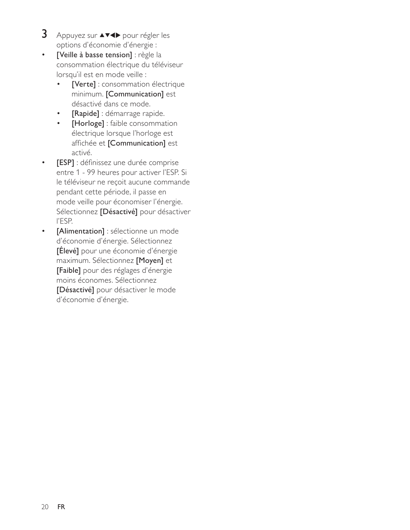- $\overline{3}$ Appuyez sur ▲▼◀▶ pour régler les options d'économie d'énergie :
- $\bullet$ [Veille à basse tension] : règle la consommation électrique du téléviseur lorsqu'il est en mode veille :
	- [Verte] : consommation électrique minimum. [Communication] est désactivé dans ce mode.
	- [Rapide] : démarrage rapide.  $\bullet$
	- [Horloge] : faible consommation  $\bullet$ électrique lorsque l'horloge est affichée et [Communication] est activé.
- [ESP] : définissez une durée comprise entre 1 - 99 heures pour activer l'ESP. Si le téléviseur ne reçoit aucune commande pendant cette période, il passe en mode veille pour économiser l'énergie. Sélectionnez [Désactivé] pour désactiver l'ESP.
- [Alimentation] : sélectionne un mode  $\bullet$ d'économie d'énergie. Sélectionnez [Élevé] pour une économie d'énergie maximum. Sélectionnez [Moyen] et [Faible] pour des réglages d'énergie moins économes. Sélectionnez [Désactivé] pour désactiver le mode d'économie d'énergie.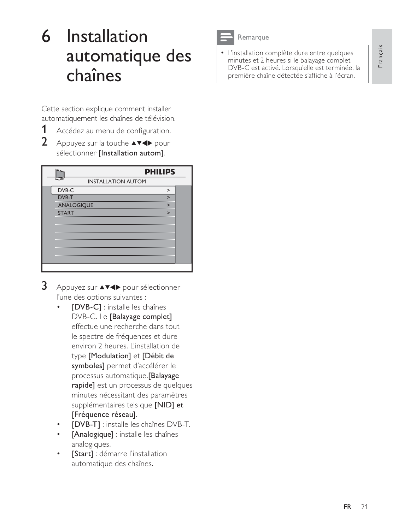# Installation  $6<sup>1</sup>$ automatique des chaînes

Cette section explique comment installer automatiquement les chaînes de télévision.

- 1 Accédez au menu de configuration.
- $\overline{2}$ Appuyez sur la touche **AV4D** pour sélectionner [Installation autom].

|                           | <b>PHILIPS</b> |
|---------------------------|----------------|
| <b>INSTALLATION AUTOM</b> |                |
| DVB-C                     | $\geq$         |
| DVB-T                     | $\mathbf{v}$   |
| <b>ANALOGIQUE</b>         | $\overline{ }$ |
| <b>START</b>              | $\overline{ }$ |
|                           |                |
|                           |                |
|                           |                |
|                           |                |
|                           |                |
|                           |                |
|                           |                |

- 3 Appuyez sur ▲▼◀▶ pour sélectionner l'une des options suivantes :
	- [DVB-C] : installe les chaînes DVB-C. Le [Balayage complet] effectue une recherche dans tout le spectre de fréquences et dure environ 2 heures. L'installation de type [Modulation] et [Débit de symboles] permet d'accélérer le processus automatique.[Balayage rapide] est un processus de quelques minutes nécessitant des paramètres supplémentaires tels que [NID] et [Fréquence réseau].
	- [DVB-T] : installe les chaînes DVB-T.
	- [Analogique] : installe les chaînes analogiques.
	- [Start] : démarre l'installation automatique des chaînes.



#### Remarque

• L'installation complète dure entre quelques minutes et 2 heures si le balayage complet DVB-C est activé. Lorsqu'elle est terminée, la première chaîne détectée s'affiche à l'écran.

Français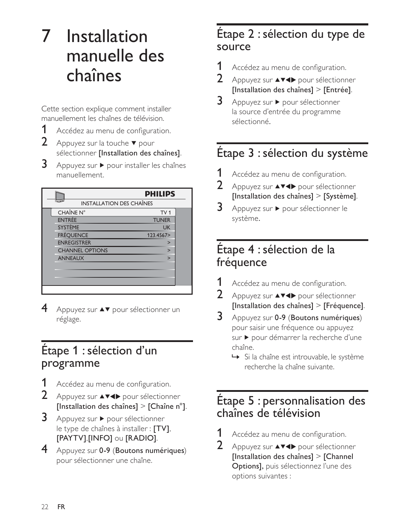# Installation  $\mathcal I$ manuelle des chaînes

Cette section explique comment installer manuellement les chaînes de télévision.

1 Accédez au menu de configuration.

 $2<sup>1</sup>$ Appuyez sur la touche ▼ pour sélectionner [Installation des chaînes].

3 Appuyez sur ▶ pour installer les chaînes manuellement.

|                                 | <b>PHILIPS</b>  |  |
|---------------------------------|-----------------|--|
| <b>INSTALLATION DES CHAÎNES</b> |                 |  |
| CHAÎNE N°                       | TV <sub>1</sub> |  |
| <b>ENTRÉE</b>                   | <b>TUNER</b>    |  |
| <b>SYSTÈME</b>                  | <b>UK</b>       |  |
| <b>FRÉQUENCE</b>                | 123.4567>       |  |
| <b>ENREGISTRER</b>              | ↘               |  |
| <b>CHANNEL OPTIONS</b>          | $\overline{ }$  |  |
| <b>ANNEAUX</b>                  | $\overline{ }$  |  |
|                                 |                 |  |
|                                 |                 |  |
|                                 |                 |  |
|                                 |                 |  |

4 Appuyez sur ▲▼ pour sélectionner un réglage.

# Étape 1 : sélection d'un programme

- Accédez au menu de configuration.
- 2 Appuyez sur **AV4** pour sélectionner [Installation des chaînes] > [Chaîne  $n^{\circ}$ ].
- $3<sup>1</sup>$ Appuyez sur ▶ pour sélectionner le type de chaînes à installer : [TV], [PAYTV],[INFO] ou [RADIO].
- 4 Appuyez sur 0-9 (Boutons numériques) pour sélectionner une chaîne.

# Étape 2 : sélection du type de source

- 1 Accédez au menu de configuration.
- $\mathfrak{D}$ Appuyez sur ▲▼◀▶ pour sélectionner [Installation des chaînes] > [Entrée].
- 3 Appuyez sur ▶ pour sélectionner la source d'entrée du programme sélectionné.

# Étape 3 : sélection du système

- 1 Accédez au menu de configuration.
- $\overline{2}$ Appuyez sur ▲▼◀▶ pour sélectionner [Installation des chaînes]  $>$  [Système].
- 3 Appuyez sur ▶ pour sélectionner le système.

# Étape 4 : sélection de la fréquence

- 1 Accédez au menu de configuration.
- $\mathcal{P}$ Appuyez sur ▲▼◀▶ pour sélectionner [Installation des chaînes] > [Fréquence].
- 3 Appuyez sur 0-9 (Boutons numériques) pour saisir une fréquence ou appuyez sur ▶ pour démarrer la recherche d'une chaîne.
	- → Si la chaîne est introuvable, le système recherche la chaîne suivante.

# Étape 5 : personnalisation des chaînes de télévision

- 1 Accédez au menu de configuration.
- $2<sup>1</sup>$ Appuyez sur ▲▼◀▶ pour sélectionner [Installation des chaînes]  $>$  [Channel] Options], puis sélectionnez l'une des options suivantes :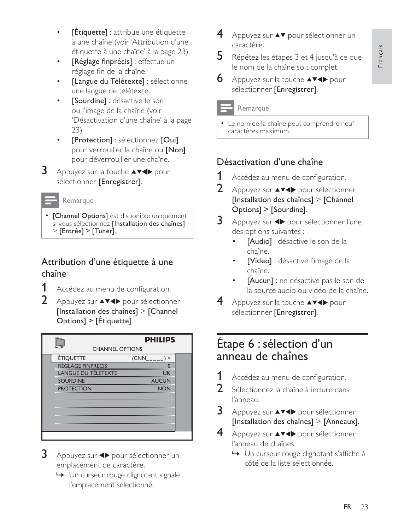- **[Étiquette]** : attribue une étiquette à une chaîne (voir 'Attribution d'une étiquette à une chaîne' à la page 23).
- [Réglage finprécis] : effectue un réglage fin de la chaîne.
- [Langue du Télétexte] : sélectionne une langue de télétexte.
- [Sourdine] : désactive le son ou l'image de la chaîne (voir 'Désactivation d'une chaîne' à la page  $23).$
- [Protection] : sélectionnez [Oui] pour verrouiller la chaîne ou [Non] pour déverrouiller une chaîne.
- 3 Appuyez sur la touche ▲▼◀▶ pour sélectionner [Enregistrer].

#### Remarque

• [Channel Options] est disponible uniquement si vous sélectionnez [Installation des chaînes]  $>$  [Entrée] > [Tuner].

## Attribution d'une étiquette à une chaîne

- 1 Accédez au menu de configuration.
- $2 -$ Appuyez sur ▲▼◀▶ pour sélectionner [Installation des chaînes] > [Channel] Options] > [Etiquette].

|                          | <b>PHILIPS</b>  |  |
|--------------------------|-----------------|--|
| <b>CHANNEL OPTIONS</b>   |                 |  |
| <b>ÉTIQUETTE</b>         | (CNN)<br>$\geq$ |  |
| <b>RÉGLAGE FINPRÉCIS</b> |                 |  |
| LANGUE DU TÉLÉTEXTE      | <b>UK</b>       |  |
| <b>SOURDINE</b>          | <b>AUCUN</b>    |  |
| <b>PROTECTION</b>        | <b>NON</b>      |  |
|                          |                 |  |
|                          |                 |  |
|                          |                 |  |
|                          |                 |  |
|                          |                 |  |
|                          |                 |  |
|                          |                 |  |

- 3 Appuyez sur <>>>
>
pour sélectionner un emplacement de caractère.
	- ← Un curseur rouge clignotant signale l'emplacement sélectionné.
- Appuyez sur ▲▼ pour sélectionner un caractère.
- 5. Répétez les étapes 3 et 4 jusqu'à ce que le nom de la chaîne soit complet.
- **6** Appuyez sur la touche  $\triangle\blacktriangledown\blacktriangle$  pour sélectionner [Enregistrer].

#### Remarque

• Le nom de la chaîne peut comprendre neuf caractères maximum.

## Désactivation d'une chaîne

- 1 Accédez au menu de configuration.
- $\mathcal{P}$ Appuyez sur ▲▼◀▶ pour sélectionner [Installation des chaînes] > [Channel] Options] > [Sourdine].
- 3 Appuyez sur <>>>
>
pour sélectionner l'une des options suivantes :
	- [Audio] : désactive le son de la chaîne.
	- [Video] : désactive l'image de la chaîne.
	- [Aucun] : ne désactive pas le son de la source audio ou vidéo de la chaîne.
- 4 Appuyez sur la touche ▲▼◀▶ pour sélectionner [Enregistrer].

# Étape 6 : sélection d'un anneau de chaînes

- 1 Accédez au menu de configuration.
- $2<sup>1</sup>$ Sélectionnez la chaîne à inclure dans l'anneau.
- 3 Appuyez sur ▲▼◀▶ pour sélectionner [Installation des chaînes]  $>$  [Anneaux].
- 4 Appuyez sur ▲▼◀▶ pour sélectionner l'anneau de chaînes.
	- ← Un curseur rouge clignotant s'affiche à côté de la liste sélectionnée.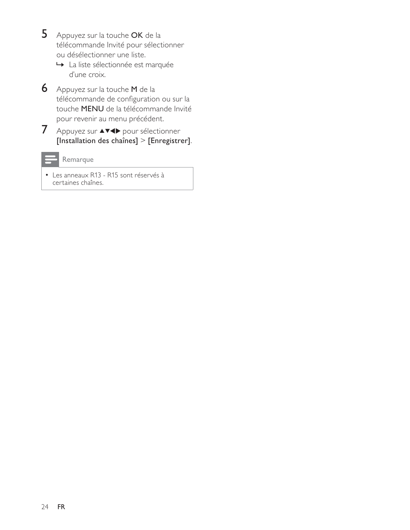- $5<sup>1</sup>$ Appuyez sur la touche OK de la télécommande Invité pour sélectionner ou désélectionner une liste.
	- ← La liste sélectionnée est marquée d'une croix.
- 6 Appuyez sur la touche M de la télécommande de configuration ou sur la touche MENU de la télécommande Invité pour revenir au menu précédent.
- 7 Appuyez sur AV4> pour sélectionner [Installation des chaînes] > [Enregistrer].

Remarque

• Les anneaux R13 - R15 sont réservés à certaines chaînes.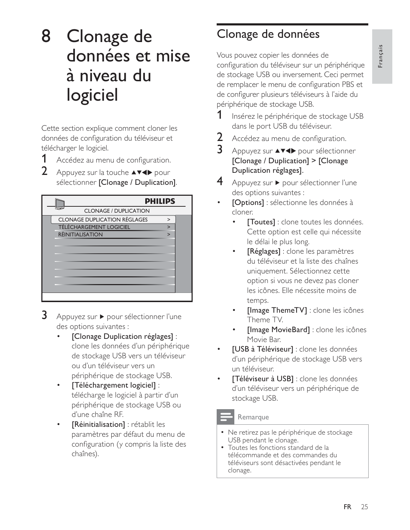# 8 Clonage de données et mise à niveau du logiciel

Cette section explique comment cloner les données de configuration du téléviseur et télécharger le logiciel.

1 Accédez au menu de configuration.

 $2<sup>1</sup>$ Appuyez sur la touche ▲▼◀▶ pour sélectionner [Clonage / Duplication].

|                                     | <b>PHILIPS</b> |  |
|-------------------------------------|----------------|--|
| <b>CLONAGE / DUPLICATION</b>        |                |  |
| <b>CLONAGE DUPLICATION RÉGLAGES</b> | $\geq$         |  |
| <b>TÉLÉCHARGEMENT LOGICIEL</b>      | $\overline{ }$ |  |
| <b>RÉINITIALISATION</b>             | ↘              |  |
|                                     |                |  |
|                                     |                |  |
|                                     |                |  |
|                                     |                |  |
|                                     |                |  |
|                                     |                |  |
|                                     |                |  |
|                                     |                |  |

- 3 Appuyez sur ▶ pour sélectionner l'une des options suivantes :
	- [Clonage Duplication réglages] : clone les données d'un périphérique de stockage USB vers un téléviseur ou d'un téléviseur vers un périphérique de stockage USB.
	- [Téléchargement logiciel] : télécharge le logiciel à partir d'un périphérique de stockage USB ou d'une chaîne RF.
	- [Réinitialisation] : rétablit les paramètres par défaut du menu de configuration (y compris la liste des chaînes).

# Clonage de données

Vous pouvez copier les données de configuration du téléviseur sur un périphérique de stockage USB ou inversement. Ceci permet de remplacer le menu de configuration PBS et de configurer plusieurs téléviseurs à l'aide du périphérique de stockage USB.

- 1 Insérez le périphérique de stockage USB dans le port USB du téléviseur.
- $\overline{2}$ Accédez au menu de configuration.
- 3 Appuyez sur ▲▼◀▶ pour sélectionner [Clonage / Duplication] > [Clonage Duplication réglages].
- 4 Appuyez sur ▶ pour sélectionner l'une des options suivantes :
- [Options] : sélectionne les données à cloner.
	- [Toutes] : clone toutes les données. Cette option est celle qui nécessite le délai le plus long.
	- [Réglages] : clone les paramètres du téléviseur et la liste des chaînes uniquement. Sélectionnez cette option si vous ne devez pas cloner les icônes. Elle nécessite moins de temps.
	- [Image ThemeTV] : clone les icônes Theme TV.
	- [Image MovieBard] : clone les icônes Movie Bar.
- [USB à Téléviseur] : clone les données d'un périphérique de stockage USB vers un téléviseur.
- [Téléviseur à USB] : clone les données d'un téléviseur vers un périphérique de stockage USB.

## Remarque

- Ne retirez pas le périphérique de stockage USB pendant le clonage.
- Toutes les fonctions standard de la télécommande et des commandes du téléviseurs sont désactivées pendant le clonage.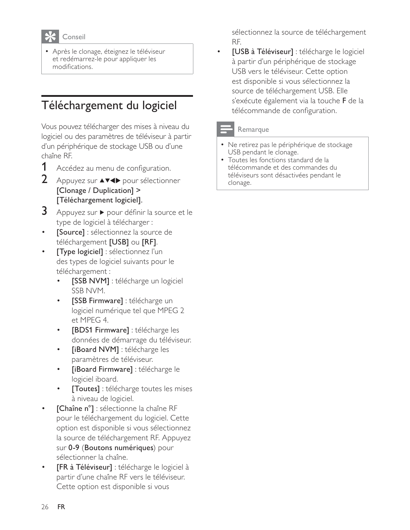# Conseil

· Après le clonage, éteignez le téléviseur et redémarrez-le pour appliquer les modifications.

# Téléchargement du logiciel

Vous pouvez télécharger des mises à niveau du logiciel ou des paramètres de téléviseur à partir d'un périphérique de stockage USB ou d'une chaîne RE

- 1 Accédez au menu de configuration.
- $\overline{2}$ Appuyez sur ▲▼◀▶ pour sélectionner [Clonage / Duplication] > [Téléchargement logiciel].
- 3 Appuyez sur ▶ pour définir la source et le type de logiciel à télécharger :
- [Source] : sélectionnez la source de téléchargement [USB] ou [RF].
- [Type logiciel] : sélectionnez l'un des types de logiciel suivants pour le téléchargement :
	- [SSB NVM] : télécharge un logiciel SSB NVM.
	- [SSB Firmware] : télécharge un logiciel numérique tel que MPEG 2 et MPEG 4.
	- [BDS1 Firmware] : télécharge les données de démarrage du téléviseur.
	- [iBoard NVM] : télécharge les paramètres de téléviseur.
	- [iBoard Firmware] : télécharge le logiciel iboard.
	- [Toutes] : télécharge toutes les mises à niveau de logiciel.
- [Chaîne n°] : sélectionne la chaîne RF pour le téléchargement du logiciel. Cette option est disponible si vous sélectionnez la source de téléchargement RF. Appuyez sur 0-9 (Boutons numériques) pour sélectionner la chaîne.
- [FR à Téléviseur] : télécharge le logiciel à partir d'une chaîne RF vers le téléviseur. Cette option est disponible si vous

sélectionnez la source de téléchargement RF.

[USB à Téléviseur] : télécharge le logiciel à partir d'un périphérique de stockage USB vers le téléviseur. Cette option est disponible si vous sélectionnez la source de téléchargement USB. Elle s'exécute également via la touche **F** de la télécommande de configuration.

#### Remarque

- Ne retirez pas le périphérique de stockage USB pendant le clonage.
- Toutes les fonctions standard de la télécommande et des commandes du téléviseurs sont désactivées pendant le clonage.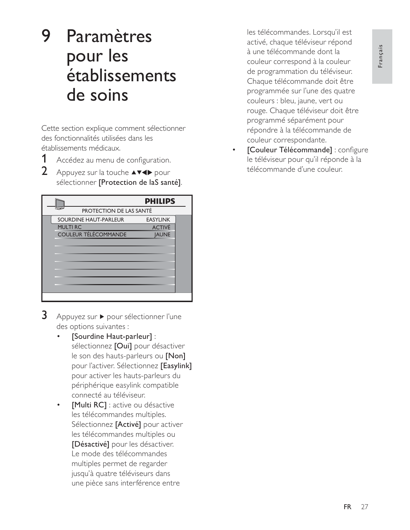# 9 Paramètres pour les établissements de soins

Cette section explique comment sélectionner des fonctionnalités utilisées dans les établissements médicaux.

1 Accédez au menu de configuration.

 $\overline{2}$ Appuyez sur la touche ▲▼◀▶ pour sélectionner [Protection de laS santé].

|                         | <b>PHILIPS</b>  |  |
|-------------------------|-----------------|--|
| PROTECTION DE LAS SANTÉ |                 |  |
| SOURDINE HAUT-PARLEUR   | <b>EASYLINK</b> |  |
| <b>MULTIRC</b>          | <b>ACTIVÉ</b>   |  |
| COULEUR TÉLÉCOMMANDE    | <b>JAUNE</b>    |  |
|                         |                 |  |
|                         |                 |  |
|                         |                 |  |
|                         |                 |  |
|                         |                 |  |
|                         |                 |  |
|                         |                 |  |
|                         |                 |  |

- 3 Appuyez sur ▶ pour sélectionner l'une des options suivantes :
	- [Sourdine Haut-parleur] : sélectionnez [Oui] pour désactiver le son des hauts-parleurs ou [Non] pour l'activer. Sélectionnez [Easylink] pour activer les hauts-parleurs du périphérique easylink compatible connecté au téléviseur.
	- [Multi RC] : active ou désactive les télécommandes multiples. Sélectionnez [Activé] pour activer les télécommandes multiples ou [Désactivé] pour les désactiver. Le mode des télécommandes multiples permet de regarder jusqu'à quatre téléviseurs dans une pièce sans interférence entre

les télécommandes. Lorsqu'il est activé, chaque téléviseur répond à une télécommande dont la couleur correspond à la couleur de programmation du téléviseur. Chaque télécommande doit être programmée sur l'une des quatre couleurs : bleu, jaune, vert ou rouge. Chaque téléviseur doit être programmé séparément pour répondre à la télécommande de couleur correspondante.

[Couleur Télécommande] : configure le téléviseur pour qu'il réponde à la télécommande d'une couleur.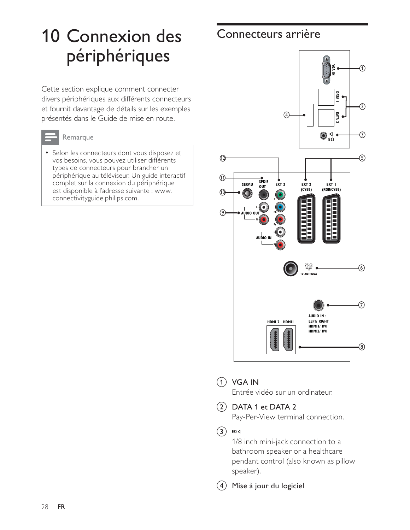# **10 Connexion des** périphériques

Cette section explique comment connecter divers périphériques aux différents connecteurs et fournit davantage de détails sur les exemples présentés dans le Guide de mise en route @



### Remarque

• Selon les connecteurs dont vous disposez et vos besoins, vous pouvez utiliser différents types de connecteurs pour brancher un périphérique au téléviseur. Un guide interactif complet sur la connexion du périphérique est disponible à l'adresse suivante : www. connectivityguide.philips.com.

## Connecteurs arrière



#### $(1)$  VGA IN

Entrée vidéo sur un ordinateur.

## $(2)$  DATA 1 et DATA 2

Pay-Per-View terminal connection.

#### $(3)$  80 d

1/8 inch mini-jack connection to a bathroom speaker or a healthcare pendant control (also known as pillow .<br>speaker).

 $(4)$  Mise à jour du logiciel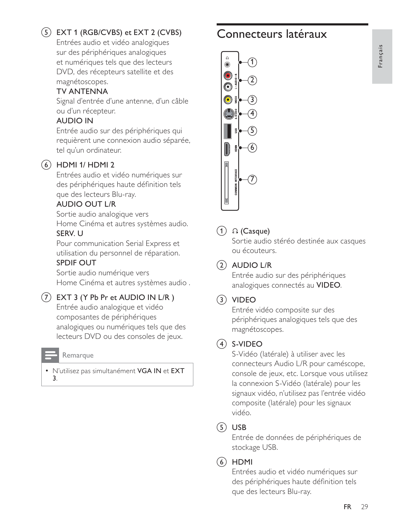## $(5)$  EXT 1 (RGB/CVBS) et EXT 2 (CVBS)

Entrées audio et vidéo analogiques sur des périphériques analogiques et numériques tels que des lecteurs DVD, des récepteurs satellite et des magnétoscopes.

### **TV ANTENNA**

Signal d'entrée d'une antenne, d'un câble ou d'un récepteur.

### **AUDIO IN**

Entrée audio sur des périphériques qui requièrent une connexion audio séparée, tel qu'un ordinateur.

## $(6)$  HDMI 1/HDMI 2

Entrées audio et vidéo numériques sur des périphériques haute définition tels que des lecteurs Blu-ray.

#### **AUDIO OUT L/R**

Sortie audio analogique vers Home Cinéma et autres systèmes audio. SERV. U

Pour communication Serial Express et utilisation du personnel de réparation.

#### **SPDIF OUT**

Sortie audio numérique vers Home Cinéma et autres systèmes audio.

### $(7)$  EXT 3 (Y Pb Pr et AUDIO IN L/R)

Entrée audio analogique et vidéo composantes de périphériques analogiques ou numériques tels que des lecteurs DVD ou des consoles de jeux.

#### Remarque

· N'utilisez pas simultanément VGA IN et EXT 3.

# Connecteurs latéraux



## $(1)$  n (Casque)

Sortie audio stéréo destinée aux casques ou écouteurs.

### $(2)$  AUDIO L/R

Entrée audio sur des périphériques analogiques connectés au VIDEO.

### $(3)$  VIDEO

Entrée vidéo composite sur des périphériques analogiques tels que des magnétoscopes.

#### $(4)$  S-VIDEO

S-Vidéo (latérale) à utiliser avec les connecteurs Audio L/R pour caméscope, console de jeux, etc. Lorsque vous utilisez la connexion S-Vidéo (latérale) pour les signaux vidéo, n'utilisez pas l'entrée vidéo composite (latérale) pour les signaux vidéo.

### $(5)$  USB

Entrée de données de périphériques de stockage USB.

### $(6)$  HDMI

Entrées audio et vidéo numériques sur des périphériques haute définition tels que des lecteurs Blu-ray.

# Français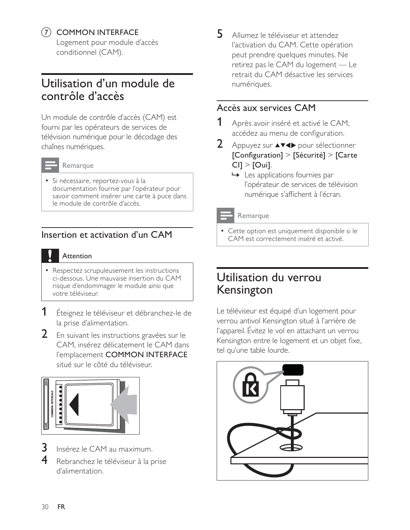### (7) COMMON INTERFACE

Logement pour module d'accès conditionnel (CAM).

# Utilisation d'un module de contrôle d'accès

Un module de contrôle d'accès (CAM) est fourni par les opérateurs de services de télévision numérique pour le décodage des chaînes numériques.



#### Remarque

· Si nécessaire, reportez-vous à la documentation fournie par l'opérateur pour savoir comment insérer une carte à puce dans le module de contrôle d'accès.

## Insertion et activation d'un CAM

#### Attention

- Respectez scrupuleusement les instructions ci-dessous. Une mauvaise insertion du CAM risque d'endommager le module ainsi que votre téléviseur.
- 1 Éteignez le téléviseur et débranchez-le de la prise d'alimentation.
- 2 En suivant les instructions gravées sur le CAM, insérez délicatement le CAM dans l'emplacement COMMON INTERFACE situé sur le côté du téléviseur.



- 3 Insérez le CAM au maximum.
- 4 Rebranchez le téléviseur à la prise d'alimentation.

5 Allumez le téléviseur et attendez l'activation du CAM. Cette opération peut prendre quelques minutes. Ne retirez pas le CAM du logement — Le retrait du CAM désactive les services numériques.

## Accès aux services CAM

- Après avoir inséré et activé le CAM. accédez au menu de configuration.
- $2<sup>1</sup>$ Appuyez sur ▲▼◀▶ pour sélectionner [Configuration] > [Sécurité] > [Carte  $Cl$ ] > [Oui].
	- $\rightarrow$  Les applications fournies par l'opérateur de services de télévision numérique s'affichent à l'écran.

#### Remarque

• Cette option est uniquement disponible si le CAM est correctement inséré et activé.

## Utilisation du verrou Kensington

Le téléviseur est équipé d'un logement pour verrou antivol Kensington situé à l'arrière de l'appareil. Évitez le vol en attachant un verrou Kensington entre le logement et un objet fixe, tel qu'une table lourde.

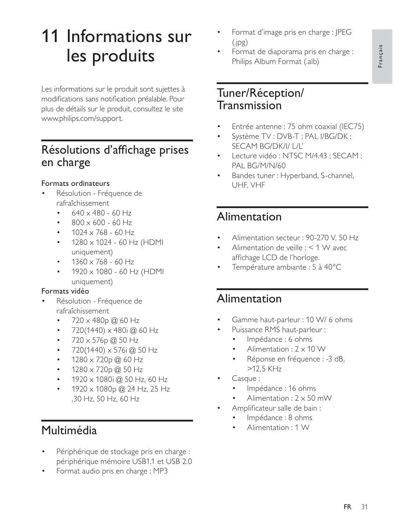# 11 Informations sur les produits

Les informations sur le produit sont sujettes à modifications sans notification préalable. Pour plus de détails sur le produit, consultez le site www.philips.com/support.

# Résolutions d'affichage prises en charge

### Formats ordinateurs

- Résolution Fréquence de rafraîchissement
	- $640 \times 480 60$  Hz
	- $800 \times 600 60$  Hz
	- $1024 \times 768 60$  Hz
	- $1280 \times 1024 60$  Hz (HDMI uniquement)
	- $1360 \times 768 60$  Hz
	- $1920 \times 1080 60$  Hz (HDMI uniquement)

### Formats vidéo

- Résolution Fréquence de rafraîchissement
	- $720 \times 480p$  @ 60 Hz
	- $720(1440) \times 480$ i @ 60 Hz
	- 720 x 576p @ 50 Hz  $\bullet$
	- $720(1440) \times 576$ i @ 50 Hz
	- $1280 \times 720p \omega 60 Hz$
	- $1280 \times 720p$  @ 50 Hz
	- $1920 \times 1080$ i @ 50 Hz, 60 Hz  $\bullet$
	- $1920 \times 1080p \omega$  24 Hz, 25 Hz ,30 Hz, 50 Hz, 60 Hz

# Multimédia

- Périphérique de stockage pris en charge : périphérique mémoire USB1.1 et USB 2.0
- Format audio pris en charge : MP3
- Format d'image pris en charge : JPEG  $(ipg)$
- Format de diaporama pris en charge : Philips Album Format (.alb)

# Tuner/Réception/ Transmission

- Entrée antenne : 75 ohm coaxial (IEC75)
- Système TV : DVB-T ; PAL I/BG/DK ; SECAM BG/DK/I/ L/L'
- Lecture vidéo: NTSC M/4.43; SECAM; PAL BG/M/N/60
- Bandes tuner: Hyperband, S-channel, UHF, VHF

# Alimentation

- Alimentation secteur: 90-270 V, 50 Hz
- Alimentation de veille : < 1 W avec affichage LCD de l'horloge.
- Température ambiante : 5 à 40°C

# Alimentation

- Gamme haut-parleur: 10 W/ 6 ohms
	- Puissance RMS haut-parleur :
		- Impédance : 6 ohms
		- Alimentation :  $2 \times 10$  W
		- Réponse en fréquence : -3 dB,  $>12.5$  KHz
- Casque:
	- Impédance : 16 ohms
	- Alimentation:  $2 \times 50$  mW
	- Amplificateur salle de bain :
		- Impédance : 8 ohms
		- Alimentation: 1 W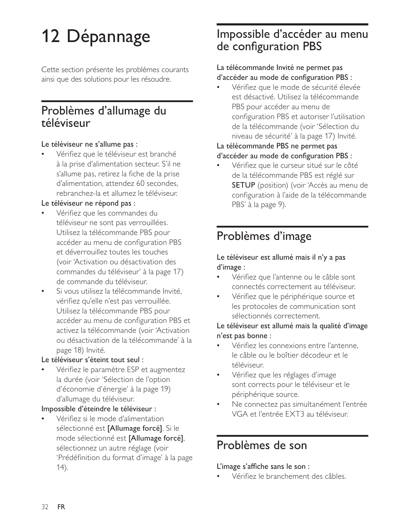# 12 Dépannage

Cette section présente les problèmes courants ainsi que des solutions pour les résoudre.

## Problèmes d'allumage du téléviseur

#### Le téléviseur ne s'allume pas :

Vérifiez que le téléviseur est branché à la prise d'alimentation secteur. S'il ne s'allume pas, retirez la fiche de la prise d'alimentation, attendez 60 secondes. rebranchez-la et allumez le téléviseur.

#### Le téléviseur ne répond pas :

- Vérifiez que les commandes du téléviseur ne sont pas verrouillées. Utilisez la télécommande PBS pour accéder au menu de configuration PBS et déverrouillez toutes les touches (voir 'Activation ou désactivation des commandes du téléviseur' à la page 17) de commande du téléviseur.
- Si vous utilisez la télécommande Invité, vérifiez qu'elle n'est pas verrouillée. Utilisez la télécommande PBS pour accéder au menu de configuration PBS et activez la télécommande (voir 'Activation ou désactivation de la télécommande' à la page 18) Invité.

#### Le téléviseur s'éteint tout seul :

Vérifiez le paramètre ESP et augmentez la durée (voir 'Sélection de l'option d'économie d'énergie' à la page 19) d'allumage du téléviseur.

#### Impossible d'éteindre le téléviseur :

Vérifiez si le mode d'alimentation sélectionné est [Allumage forcé]. Si le mode sélectionné est [Allumage forcé], sélectionnez un autre réglage (voir 'Prédéfinition du format d'image' à la page  $(14)$ .

# Impossible d'accéder au menu de configuration PBS

#### La télécommande Invité ne permet pas d'accéder au mode de configuration PBS :

Vérifiez que le mode de sécurité élevée est désactivé. Utilisez la télécommande PBS pour accéder au menu de configuration PBS et autoriser l'utilisation de la télécommande (voir 'Sélection du niveau de sécurité' à la page 17) Invité.

# La télécommande PBS ne permet pas

#### d'accéder au mode de configuration PBS :

Vérifiez que le curseur situé sur le côté de la télécommande PBS est réglé sur **SETUP** (position) (voir 'Accès au menu de configuration à l'aide de la télécommande PBS' à la page 9).

# Problèmes d'image

#### Le téléviseur est allumé mais il n'y a pas  $d'image:$

- Vérifiez que l'antenne ou le câble sont connectés correctement au téléviseur.
- Vérifiez que le périphérique source et les protocoles de communication sont sélectionnés correctement.

### Le téléviseur est allumé mais la qualité d'image n'est pas bonne :

- Vérifiez les connexions entre l'antenne, le câble ou le boîtier décodeur et le téléviseur.
- Vérifiez que les réglages d'image sont corrects pour le téléviseur et le périphérique source.
- Ne connectez pas simultanément l'entrée VGA et l'entrée EXT3 au téléviseur.

# Problèmes de son

#### L'image s'affiche sans le son :

Vérifiez le branchement des câbles.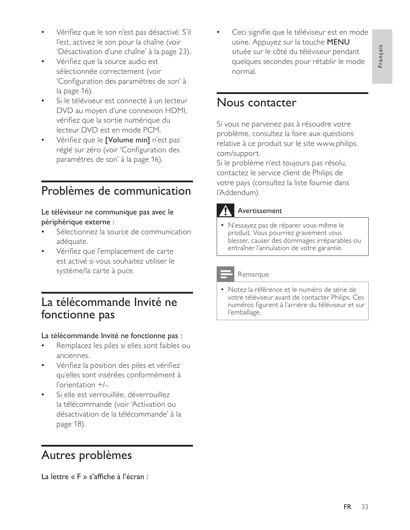- Vérifiez que le son n'est pas désactivé. S'il l'est, activez le son pour la chaîne (voir 'Désactivation d'une chaîne' à la page 23).
- Vérifiez que la source audio est sélectionnée correctement (voir 'Configuration des paramètres de son' à la page 16).
- Si le téléviseur est connecté à un lecteur DVD au moyen d'une connexion HDMI, vérifiez que la sortie numérique du lecteur DVD est en mode PCM.
- Vérifiez que le [Volume min] n'est pas réglé sur zéro (voir 'Configuration des paramètres de son' à la page 16).

# Problèmes de communication

#### Le téléviseur ne communique pas avec le périphérique externe :

- Sélectionnez la source de communication adéquate.
- Vérifiez que l'emplacement de carte est activé si vous souhaitez utiliser le système/la carte à puce.

## La télécommande Invité ne fonctionne pas

#### La télécommande Invité ne fonctionne pas :

- Remplacez les piles si elles sont faibles ou anciennes.
- Vérifiez la position des piles et vérifiez qu'elles sont insérées conformément à l'orientation  $+/-$ .
- Si elle est verrouillée, déverrouillez la télécommande (voir 'Activation ou désactivation de la télécommande' à la page 18).

# Autres problèmes

La lettre « F » s'affiche à l'écran :

Ceci signifie que le téléviseur est en mode usine. Appuyez sur la touche MENU située sur le côté du téléviseur pendant quelques secondes pour rétablir le mode normal

## Nous contacter

Si vous ne parvenez pas à résoudre votre problème, consultez la foire aux questions relative à ce produit sur le site www.philips. com/support.

Si le problème n'est toujours pas résolu, contactez le service client de Philips de votre pays (consultez la liste fournie dans l'Addendum).

### Avertissement

• N'essayez pas de réparer vous-même le produit. Vous pourriez gravement vous blesser, causer des dommages irréparables ou entraîner l'annulation de votre garantie.

#### Remarque

• Notez la référence et le numéro de série de votre téléviseur avant de contacter Philips. Ces numéros figurent à l'arrière du téléviseur et sur l'emballage.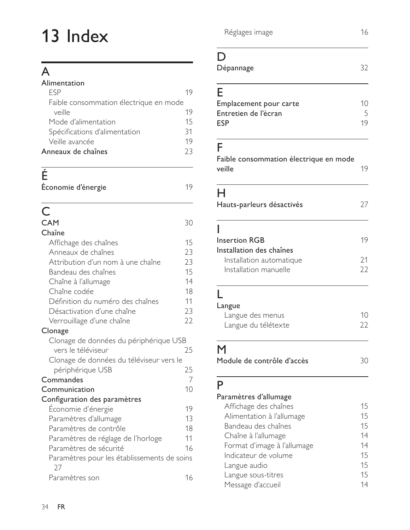# 13 Index

# $\overline{A}$

| Alimentation                           |    |
|----------------------------------------|----|
| FSP                                    | 19 |
| Faible consommation électrique en mode |    |
| veille                                 | 19 |
| Mode d'alimentation                    | 15 |
| Spécifications d'alimentation          | 31 |
| Veille avancée                         | 19 |
| Anneaux de chaînes                     | 73 |

# $\overline{r}$

| Économie d'énergie |  |
|--------------------|--|

# $\mathsf{C}$

| <b>CAM</b>                                        | 30 |
|---------------------------------------------------|----|
| Chaîne                                            |    |
| Affichage des chaînes                             | 15 |
| Anneaux de chaînes                                | 23 |
| Attribution d'un nom à une chaîne                 | 23 |
| Bandeau des chaînes                               | 15 |
| Chaîne à l'allumage                               | 14 |
| Chaîne codée                                      | 18 |
| Définition du numéro des chaînes                  | 11 |
| Désactivation d'une chaîne                        | 23 |
| Verrouillage d'une chaîne                         | 22 |
| Clonage                                           |    |
| Clonage de données du périphérique USB            |    |
| vers le téléviseur                                | 25 |
| Clonage de données du téléviseur vers le          |    |
| périphérique USB                                  | 25 |
| Commandes                                         | 7  |
| Communication                                     | 10 |
| Configuration des paramètres                      |    |
| Economie d'énergie                                | 19 |
| Paramètres d'allumage                             | 13 |
| Paramètres de contrôle                            | 18 |
| Paramètres de réglage de l'horloge                | 11 |
| Paramètres de sécurité                            | 16 |
| Paramètres pour les établissements de soins<br>27 |    |
| Paramètres son                                    | 16 |

Réglages image

## $\mathsf{D}%$

| Dépannage | 32 |
|-----------|----|
|           |    |

# F

| 10 |
|----|
|    |
| 19 |
|    |

# $\blacksquare$

| г<br>Faible consommation électrique en mode<br>veille | 19       |
|-------------------------------------------------------|----------|
| н<br>Hauts-parleurs désactivés                        | 27       |
| I<br><b>Insertion RGB</b><br>Installation des chaînes | 19       |
| Installation automatique<br>Installation manuelle     | 21<br>22 |
| Langue<br>Langue des menus                            | 10       |
| Langue du télétexte                                   | 22       |
| M<br>Module de contrôle d'accès                       | 30       |

## P

### Paramètres d'allumage

| Affichage des chaînes       | 15 |
|-----------------------------|----|
| Alimentation à l'allumage   | 15 |
| Bandeau des chaînes         | 15 |
| Chaîne à l'allumage         | 14 |
| Format d'image à l'allumage | 14 |
| Indicateur de volume        | 15 |
| Langue audio                | 15 |
| Langue sous-titres          | 15 |
| Message d'accueil           | 14 |
|                             |    |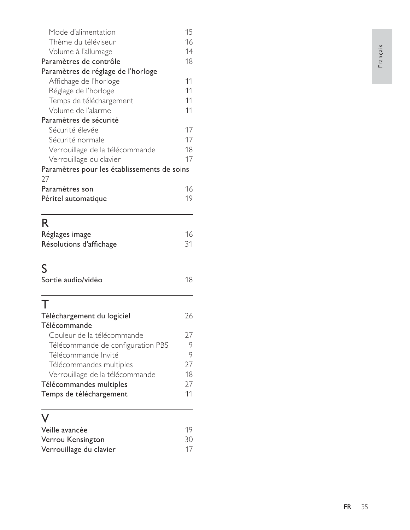| Mode d'alimentation                         | 15 |
|---------------------------------------------|----|
| Thème du téléviseur                         | 16 |
| Volume à l'allumage                         | 14 |
| Paramètres de contrôle                      | 18 |
| Paramètres de réglage de l'horloge          |    |
| Affichage de l'horloge                      | 11 |
| Réglage de l'horloge                        | 11 |
| Temps de téléchargement                     | 11 |
| Volume de l'alarme                          | 11 |
| Paramètres de sécurité                      |    |
| Sécurité élevée                             | 17 |
| Sécurité normale                            | 17 |
| Verrouillage de la télécommande             | 18 |
| Verrouillage du clavier                     | 17 |
| Paramètres pour les établissements de soins |    |
| 27                                          |    |
| Paramètres son                              | 16 |
| Péritel automatique                         | 19 |
|                                             |    |
| R                                           |    |
| Réglages image                              | 16 |
| Résolutions d'affichage                     | 31 |
|                                             |    |
|                                             |    |
| S                                           |    |
| Sortie audio/vidéo                          | 18 |
|                                             |    |
| Т                                           |    |
| Téléchargement du logiciel                  | 26 |
| Télécommande                                |    |
| Couleur de la télécommande                  | 27 |
| Télécommande de configuration PBS           | 9  |
| Télécommande Invité                         | 9  |
| Télécommandes multiples                     | 27 |
| Verrouillage de la télécommande             | 18 |
| Télécommandes multiples                     |    |
| Temps de téléchargement                     | 11 |
|                                             |    |
| Veille avancée                              | 19 |

| vellie avalicee         | $\mathbf{1}$ |
|-------------------------|--------------|
| Verrou Kensington       | 30           |
| Verrouillage du clavier | 17           |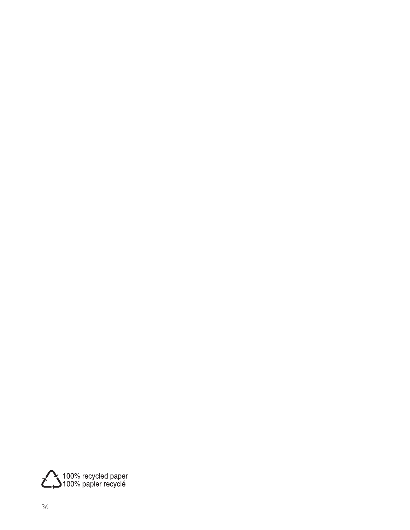